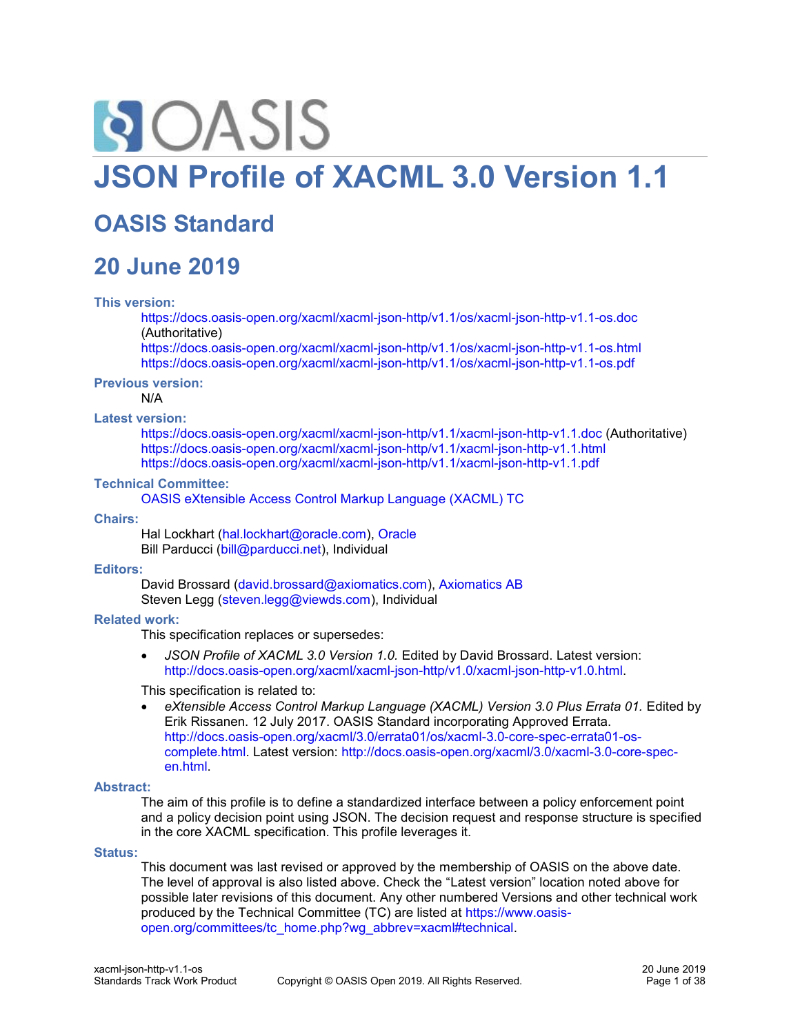# **SIOASIS JSON Profile of XACML 3.0 Version 1.1**

# **OASIS Standard**

# **20 June 2019**

#### **This version:**

<https://docs.oasis-open.org/xacml/xacml-json-http/v1.1/os/xacml-json-http-v1.1-os.doc> (Authoritative)

<https://docs.oasis-open.org/xacml/xacml-json-http/v1.1/os/xacml-json-http-v1.1-os.html> <https://docs.oasis-open.org/xacml/xacml-json-http/v1.1/os/xacml-json-http-v1.1-os.pdf>

**Previous version:**

N/A

#### **Latest version:**

<https://docs.oasis-open.org/xacml/xacml-json-http/v1.1/xacml-json-http-v1.1.doc> (Authoritative) <https://docs.oasis-open.org/xacml/xacml-json-http/v1.1/xacml-json-http-v1.1.html> <https://docs.oasis-open.org/xacml/xacml-json-http/v1.1/xacml-json-http-v1.1.pdf>

#### **Technical Committee:**

[OASIS eXtensible Access Control Markup Language \(XACML\) TC](https://www.oasis-open.org/committees/xacml/)

#### **Chairs:**

Hal Lockhart [\(hal.lockhart@oracle.com\)](mailto:hal.lockhart@oracle.com), [Oracle](http://www.oracle.com/) Bill Parducci [\(bill@parducci.net\)](mailto:bill@parducci.net), Individual

#### **Editors:**

David Brossard [\(david.brossard@axiomatics.com\)](mailto:david.brossard@axiomatics.com), [Axiomatics AB](http://www.axiomatics.com/) Steven Legg [\(steven.legg@viewds.com\)](mailto:steven.legg@viewds.com), Individual

#### **Related work:**

This specification replaces or supersedes:

• *JSON Profile of XACML 3.0 Version 1.0.* Edited by David Brossard. Latest version: [http://docs.oasis-open.org/xacml/xacml-json-http/v1.0/xacml-json-http-v1.0.html.](http://docs.oasis-open.org/xacml/xacml-json-http/v1.0/xacml-json-http-v1.0.html)

This specification is related to:

eXtensible Access Control Markup Language (XACML) Version 3.0 Plus Errata 01. Edited by Erik Rissanen. 12 July 2017. OASIS Standard incorporating Approved Errata. [http://docs.oasis-open.org/xacml/3.0/errata01/os/xacml-3.0-core-spec-errata01-os](http://docs.oasis-open.org/xacml/3.0/errata01/os/xacml-3.0-core-spec-errata01-os-complete.html)[complete.html.](http://docs.oasis-open.org/xacml/3.0/errata01/os/xacml-3.0-core-spec-errata01-os-complete.html) Latest version: [http://docs.oasis-open.org/xacml/3.0/xacml-3.0-core-spec](http://docs.oasis-open.org/xacml/3.0/xacml-3.0-core-spec-en.html)[en.html.](http://docs.oasis-open.org/xacml/3.0/xacml-3.0-core-spec-en.html)

#### **Abstract:**

The aim of this profile is to define a standardized interface between a policy enforcement point and a policy decision point using JSON. The decision request and response structure is specified in the core XACML specification. This profile leverages it.

#### **Status:**

This document was last revised or approved by the membership of OASIS on the above date. The level of approval is also listed above. Check the "Latest version" location noted above for possible later revisions of this document. Any other numbered Versions and other technical work produced by the Technical Committee (TC) are listed at [https://www.oasis](https://www.oasis-open.org/committees/tc_home.php?wg_abbrev=xacml#technical)[open.org/committees/tc\\_home.php?wg\\_abbrev=xacml#technical.](https://www.oasis-open.org/committees/tc_home.php?wg_abbrev=xacml#technical)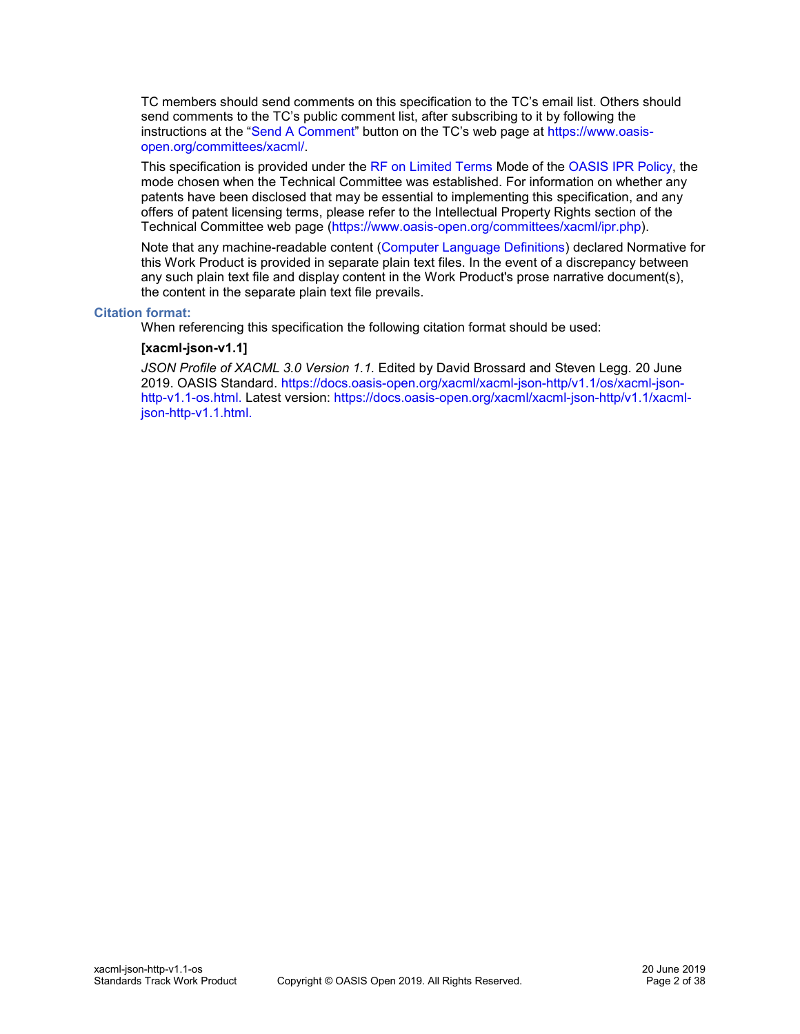TC members should send comments on this specification to the TC's email list. Others should send comments to the TC's public comment list, after subscribing to it by following the instructions at the "[Send A Comment](https://www.oasis-open.org/committees/comments/index.php?wg_abbrev=xacml)" button on the TC's web page at [https://www.oasis](https://www.oasis-open.org/committees/xacml/)[open.org/committees/xacml/.](https://www.oasis-open.org/committees/xacml/)

This specification is provided under the [RF on Limited Terms](https://www.oasis-open.org/policies-guidelines/ipr#RF-on-Limited-Mode) Mode of the [OASIS IPR Policy,](https://www.oasis-open.org/policies-guidelines/ipr) the mode chosen when the Technical Committee was established. For information on whether any patents have been disclosed that may be essential to implementing this specification, and any offers of patent licensing terms, please refer to the Intellectual Property Rights section of the Technical Committee web page [\(https://www.oasis-open.org/committees/xacml/ipr.php\)](https://www.oasis-open.org/committees/xacml/ipr.php).

Note that any machine-readable content [\(Computer Language Definitions\)](https://www.oasis-open.org/policies-guidelines/tc-process#wpComponentsCompLang) declared Normative for this Work Product is provided in separate plain text files. In the event of a discrepancy between any such plain text file and display content in the Work Product's prose narrative document(s), the content in the separate plain text file prevails.

#### **Citation format:**

When referencing this specification the following citation format should be used:

#### **[xacml-json-v1.1]**

*JSON Profile of XACML 3.0 Version 1.1.* Edited by David Brossard and Steven Legg. 20 June 2019. OASIS Standard. [https://docs.oasis-open.org/xacml/xacml-json-http/v1.1/os/xacml-json](https://docs.oasis-open.org/xacml/xacml-json-http/v1.1/os/xacml-json-http-v1.1-os.html)[http-v1.1-os.html.](https://docs.oasis-open.org/xacml/xacml-json-http/v1.1/os/xacml-json-http-v1.1-os.html) Latest version: [https://docs.oasis-open.org/xacml/xacml-json-http/v1.1/xacml](https://docs.oasis-open.org/xacml/xacml-json-http/v1.1/xacml-json-http-v1.1.html)[json-http-v1.1.html.](https://docs.oasis-open.org/xacml/xacml-json-http/v1.1/xacml-json-http-v1.1.html)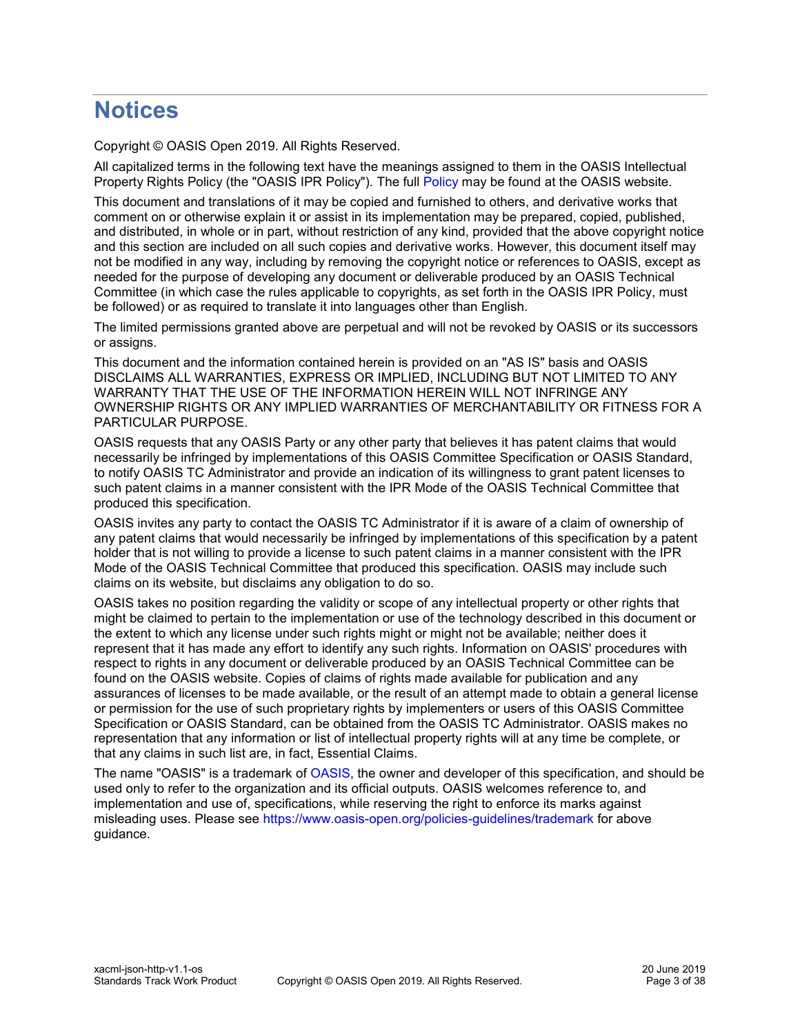# **Notices**

Copyright © OASIS Open 2019. All Rights Reserved.

All capitalized terms in the following text have the meanings assigned to them in the OASIS Intellectual Property Rights Policy (the "OASIS IPR Policy"). The full [Policy](https://www.oasis-open.org/policies-guidelines/ipr) may be found at the OASIS website.

This document and translations of it may be copied and furnished to others, and derivative works that comment on or otherwise explain it or assist in its implementation may be prepared, copied, published, and distributed, in whole or in part, without restriction of any kind, provided that the above copyright notice and this section are included on all such copies and derivative works. However, this document itself may not be modified in any way, including by removing the copyright notice or references to OASIS, except as needed for the purpose of developing any document or deliverable produced by an OASIS Technical Committee (in which case the rules applicable to copyrights, as set forth in the OASIS IPR Policy, must be followed) or as required to translate it into languages other than English.

The limited permissions granted above are perpetual and will not be revoked by OASIS or its successors or assigns.

This document and the information contained herein is provided on an "AS IS" basis and OASIS DISCLAIMS ALL WARRANTIES, EXPRESS OR IMPLIED, INCLUDING BUT NOT LIMITED TO ANY WARRANTY THAT THE USE OF THE INFORMATION HEREIN WILL NOT INFRINGE ANY OWNERSHIP RIGHTS OR ANY IMPLIED WARRANTIES OF MERCHANTABILITY OR FITNESS FOR A PARTICULAR PURPOSE.

OASIS requests that any OASIS Party or any other party that believes it has patent claims that would necessarily be infringed by implementations of this OASIS Committee Specification or OASIS Standard, to notify OASIS TC Administrator and provide an indication of its willingness to grant patent licenses to such patent claims in a manner consistent with the IPR Mode of the OASIS Technical Committee that produced this specification.

OASIS invites any party to contact the OASIS TC Administrator if it is aware of a claim of ownership of any patent claims that would necessarily be infringed by implementations of this specification by a patent holder that is not willing to provide a license to such patent claims in a manner consistent with the IPR Mode of the OASIS Technical Committee that produced this specification. OASIS may include such claims on its website, but disclaims any obligation to do so.

OASIS takes no position regarding the validity or scope of any intellectual property or other rights that might be claimed to pertain to the implementation or use of the technology described in this document or the extent to which any license under such rights might or might not be available; neither does it represent that it has made any effort to identify any such rights. Information on OASIS' procedures with respect to rights in any document or deliverable produced by an OASIS Technical Committee can be found on the OASIS website. Copies of claims of rights made available for publication and any assurances of licenses to be made available, or the result of an attempt made to obtain a general license or permission for the use of such proprietary rights by implementers or users of this OASIS Committee Specification or OASIS Standard, can be obtained from the OASIS TC Administrator. OASIS makes no representation that any information or list of intellectual property rights will at any time be complete, or that any claims in such list are, in fact, Essential Claims.

The name "OASIS" is a trademark of [OASIS,](https://www.oasis-open.org/) the owner and developer of this specification, and should be used only to refer to the organization and its official outputs. OASIS welcomes reference to, and implementation and use of, specifications, while reserving the right to enforce its marks against misleading uses. Please see<https://www.oasis-open.org/policies-guidelines/trademark> for above guidance.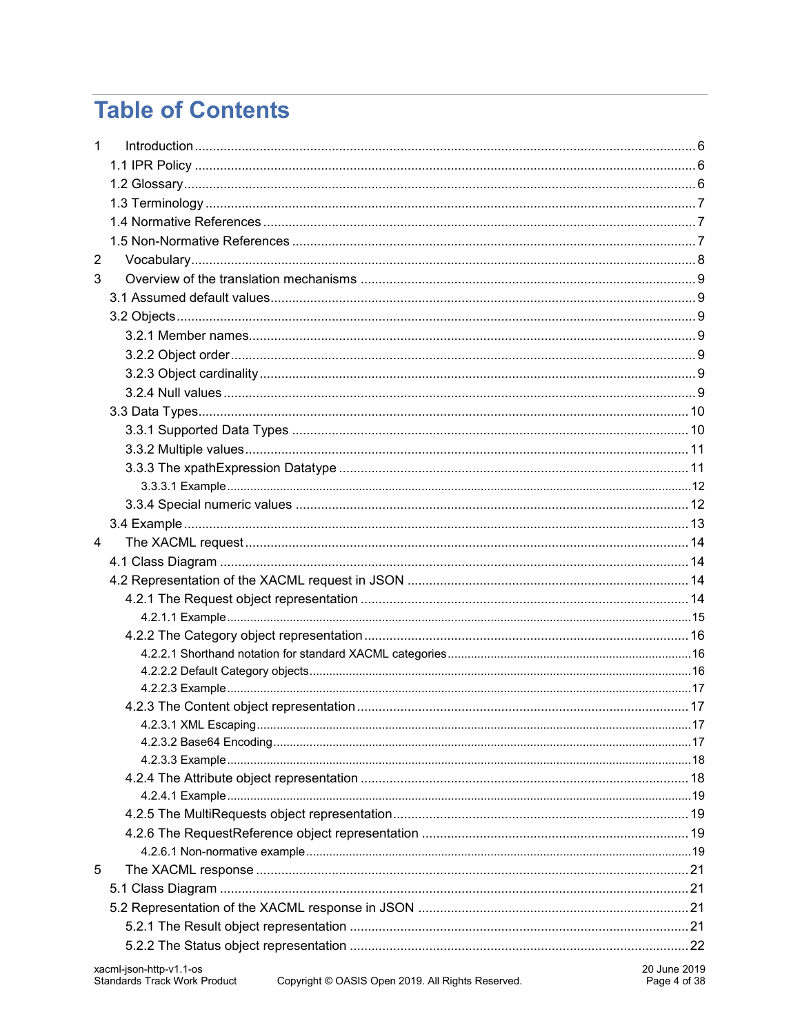# **Table of Contents**

| $\mathbf{1}$ |  |
|--------------|--|
|              |  |
|              |  |
|              |  |
|              |  |
|              |  |
| 2            |  |
| 3            |  |
|              |  |
|              |  |
|              |  |
|              |  |
|              |  |
|              |  |
|              |  |
|              |  |
|              |  |
|              |  |
|              |  |
|              |  |
|              |  |
| 4            |  |
|              |  |
|              |  |
|              |  |
|              |  |
|              |  |
|              |  |
|              |  |
|              |  |
|              |  |
|              |  |
|              |  |
|              |  |
|              |  |
|              |  |
|              |  |
|              |  |
| 5            |  |
|              |  |
|              |  |
|              |  |
|              |  |
|              |  |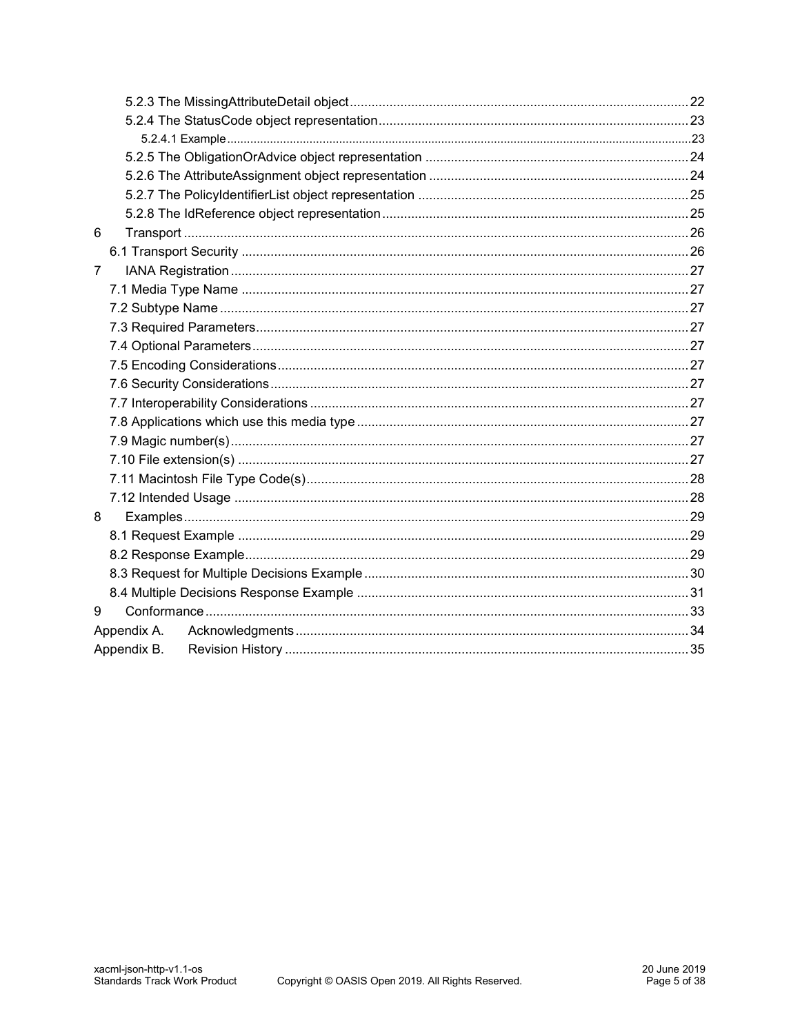| 6           |             |  |
|-------------|-------------|--|
|             |             |  |
| 7           |             |  |
|             |             |  |
|             |             |  |
|             |             |  |
|             |             |  |
|             |             |  |
|             |             |  |
|             |             |  |
|             |             |  |
|             |             |  |
|             |             |  |
|             |             |  |
|             |             |  |
| 8           |             |  |
|             |             |  |
|             |             |  |
|             |             |  |
|             |             |  |
| 9           |             |  |
| Appendix A. |             |  |
|             | Appendix B. |  |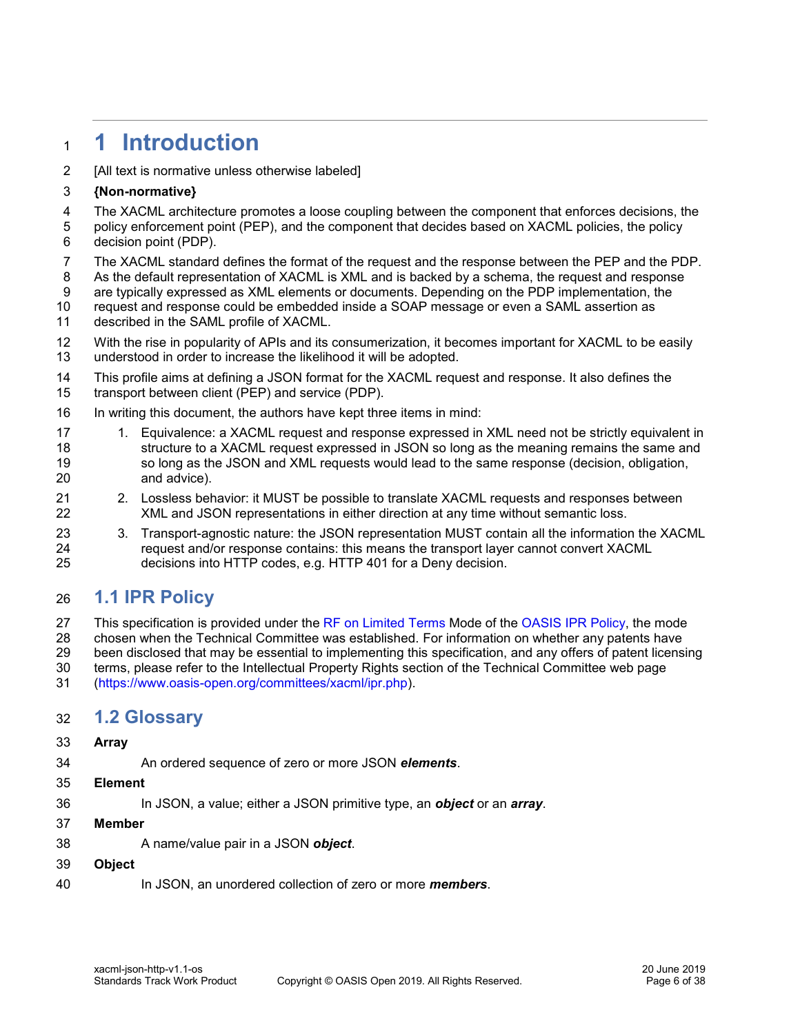# <span id="page-5-0"></span>**1 Introduction**

[All text is normative unless otherwise labeled]

#### **{Non-normative}**

- 4 The XACML architecture promotes a loose coupling between the component that enforces decisions, the 40<br>5 policy enforcement point (PEP), and the component that decides based on XACML policies, the policy
- policy enforcement point (PEP), and the component that decides based on XACML policies, the policy decision point (PDP).
- The XACML standard defines the format of the request and the response between the PEP and the PDP.
- As the default representation of XACML is XML and is backed by a schema, the request and response are typically expressed as XML elements or documents. Depending on the PDP implementation, the
- request and response could be embedded inside a SOAP message or even a SAML assertion as
- described in the SAML profile of XACML.
- With the rise in popularity of APIs and its consumerization, it becomes important for XACML to be easily understood in order to increase the likelihood it will be adopted.
- This profile aims at defining a JSON format for the XACML request and response. It also defines the
- transport between client (PEP) and service (PDP).
- In writing this document, the authors have kept three items in mind:
- 17 1. Equivalence: a XACML request and response expressed in XML need not be strictly equivalent in structure to a XACML request expressed in JSON so long as the meaning remains the same and so long as the JSON and XML requests would lead to the same response (decision, obligation, and advice).
- 2. Lossless behavior: it MUST be possible to translate XACML requests and responses between XML and JSON representations in either direction at any time without semantic loss.
- 23 3. Transport-agnostic nature: the JSON representation MUST contain all the information the XACML request and/or response contains: this means the transport layer cannot convert XACML decisions into HTTP codes, e.g. HTTP 401 for a Deny decision.

# <span id="page-5-1"></span>**1.1 IPR Policy**

- 27 This specification is provided under the [RF on Limited Terms](https://www.oasis-open.org/policies-guidelines/ipr#RF-on-Limited-Mode) Mode of the [OASIS IPR Policy,](https://www.oasis-open.org/policies-guidelines/ipr) the mode
- chosen when the Technical Committee was established. For information on whether any patents have
- been disclosed that may be essential to implementing this specification, and any offers of patent licensing
- terms, please refer to the Intellectual Property Rights section of the Technical Committee web page
- [\(https://www.oasis-open.org/committees/xacml/ipr.php\)](https://www.oasis-open.org/committees/xacml/ipr.php).

# <span id="page-5-2"></span>**1.2 Glossary**

#### **Array**

- An ordered sequence of zero or more JSON *elements*.
- **Element**
- In JSON, a value; either a JSON primitive type, an *object* or an *array*.
- **Member**
- A name/value pair in a JSON *object*.
- **Object**

In JSON, an unordered collection of zero or more *members*.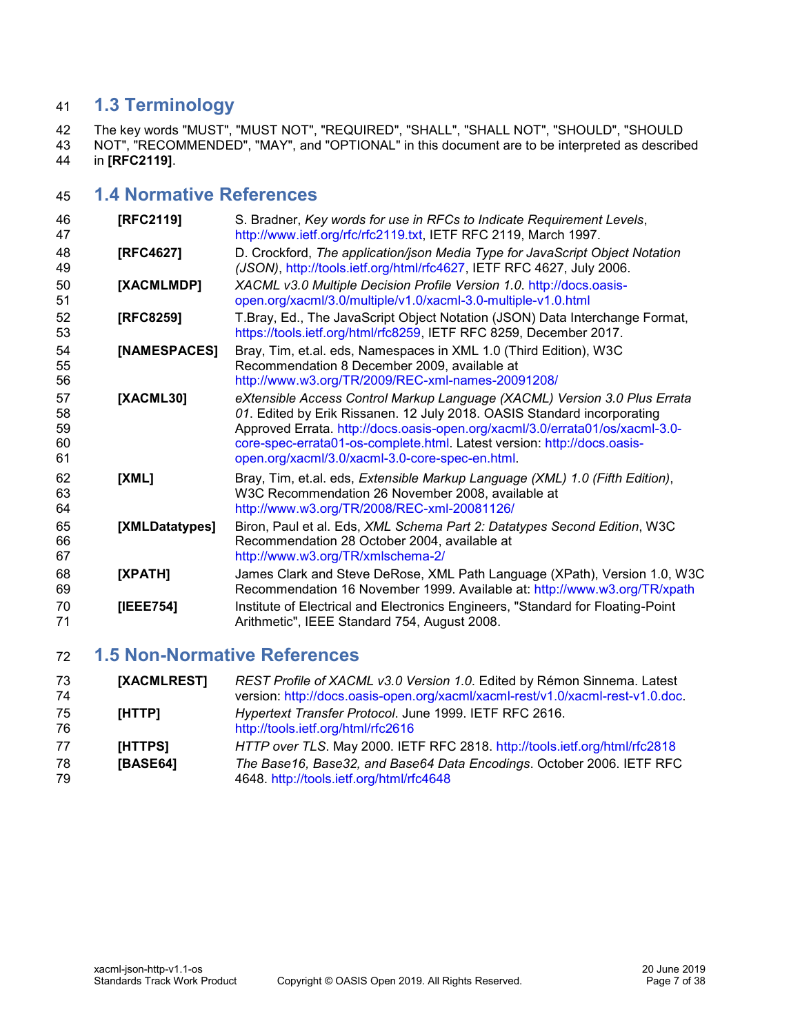# <span id="page-6-0"></span>**1.3 Terminology**

 The key words "MUST", "MUST NOT", "REQUIRED", "SHALL", "SHALL NOT", "SHOULD", "SHOULD NOT", "RECOMMENDED", "MAY", and "OPTIONAL" in this document are to be interpreted as described in **[\[RFC2119\]](#page-6-3)**.

# <span id="page-6-1"></span>**1.4 Normative References**

<span id="page-6-12"></span><span id="page-6-7"></span><span id="page-6-6"></span><span id="page-6-4"></span><span id="page-6-3"></span>

| 46<br>47                   | [RFC2119]      | S. Bradner, Key words for use in RFCs to Indicate Requirement Levels,<br>http://www.ietf.org/rfc/rfc2119.txt, IETF RFC 2119, March 1997.                                                                                                                                                                                                                           |
|----------------------------|----------------|--------------------------------------------------------------------------------------------------------------------------------------------------------------------------------------------------------------------------------------------------------------------------------------------------------------------------------------------------------------------|
| 48<br>49                   | [RFC4627]      | D. Crockford, The application/json Media Type for JavaScript Object Notation<br>(JSON), http://tools.ietf.org/html/rfc4627, IETF RFC 4627, July 2006.                                                                                                                                                                                                              |
| 50<br>51                   | [XACMLMDP]     | XACML v3.0 Multiple Decision Profile Version 1.0. http://docs.oasis-<br>open.org/xacml/3.0/multiple/v1.0/xacml-3.0-multiple-v1.0.html                                                                                                                                                                                                                              |
| 52<br>53                   | [RFC8259]      | T.Bray, Ed., The JavaScript Object Notation (JSON) Data Interchange Format,<br>https://tools.ietf.org/html/rfc8259, IETF RFC 8259, December 2017.                                                                                                                                                                                                                  |
| 54<br>55<br>56             | [NAMESPACES]   | Bray, Tim, et.al. eds, Namespaces in XML 1.0 (Third Edition), W3C<br>Recommendation 8 December 2009, available at<br>http://www.w3.org/TR/2009/REC-xml-names-20091208/                                                                                                                                                                                             |
| 57<br>58<br>59<br>60<br>61 | [XACML30]      | eXtensible Access Control Markup Language (XACML) Version 3.0 Plus Errata<br>01. Edited by Erik Rissanen. 12 July 2018. OASIS Standard incorporating<br>Approved Errata. http://docs.oasis-open.org/xacml/3.0/errata01/os/xacml-3.0-<br>core-spec-errata01-os-complete.html. Latest version: http://docs.oasis-<br>open.org/xacml/3.0/xacml-3.0-core-spec-en.html. |
| 62<br>63<br>64             | [XML]          | Bray, Tim, et.al. eds, Extensible Markup Language (XML) 1.0 (Fifth Edition),<br>W3C Recommendation 26 November 2008, available at<br>http://www.w3.org/TR/2008/REC-xml-20081126/                                                                                                                                                                                   |
| 65<br>66<br>67             | [XMLDatatypes] | Biron, Paul et al. Eds, XML Schema Part 2: Datatypes Second Edition, W3C<br>Recommendation 28 October 2004, available at<br>http://www.w3.org/TR/xmlschema-2/                                                                                                                                                                                                      |
| 68<br>69                   | [XPATH]        | James Clark and Steve DeRose, XML Path Language (XPath), Version 1.0, W3C<br>Recommendation 16 November 1999. Available at: http://www.w3.org/TR/xpath                                                                                                                                                                                                             |
| 70<br>71                   | [IEEE754]      | Institute of Electrical and Electronics Engineers, "Standard for Floating-Point<br>Arithmetic", IEEE Standard 754, August 2008.                                                                                                                                                                                                                                    |

# <span id="page-6-5"></span><span id="page-6-2"></span>**1.5 Non-Normative References**

<span id="page-6-11"></span><span id="page-6-10"></span><span id="page-6-9"></span><span id="page-6-8"></span>

| 73<br>74 | [XACMLREST] | REST Profile of XACML v3.0 Version 1.0. Edited by Rémon Sinnema. Latest<br>version: http://docs.oasis-open.org/xacml/xacml-rest/v1.0/xacml-rest-v1.0.doc. |
|----------|-------------|-----------------------------------------------------------------------------------------------------------------------------------------------------------|
| 75<br>76 | [HTTP]      | Hypertext Transfer Protocol. June 1999. IETF RFC 2616.<br>http://tools.ietf.org/html/rfc2616                                                              |
| 77       | [HTTPS]     | HTTP over TLS. May 2000. IETF RFC 2818. http://tools.ietf.org/html/rfc2818                                                                                |
| 78<br>79 | [BASE64]    | The Base16, Base32, and Base64 Data Encodings. October 2006. IETF RFC<br>4648. http://tools.ietf.org/html/rfc4648                                         |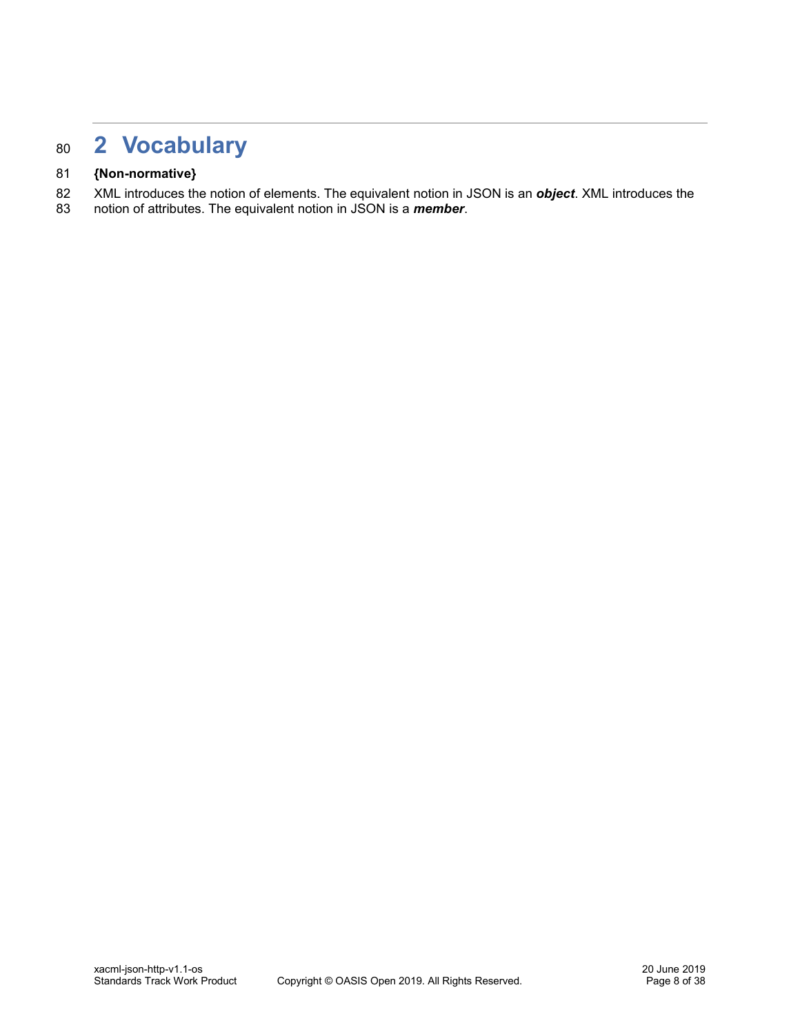# <span id="page-7-0"></span><sup>80</sup> **2 Vocabulary**

#### 81 **{Non-normative}**

- 82 XML introduces the notion of elements. The equivalent notion in JSON is an **object**. XML introduces the 83 notion of attributes. The equivalent notion in JSON is a *member*.
- 83 notion of attributes. The equivalent notion in JSON is a *member*.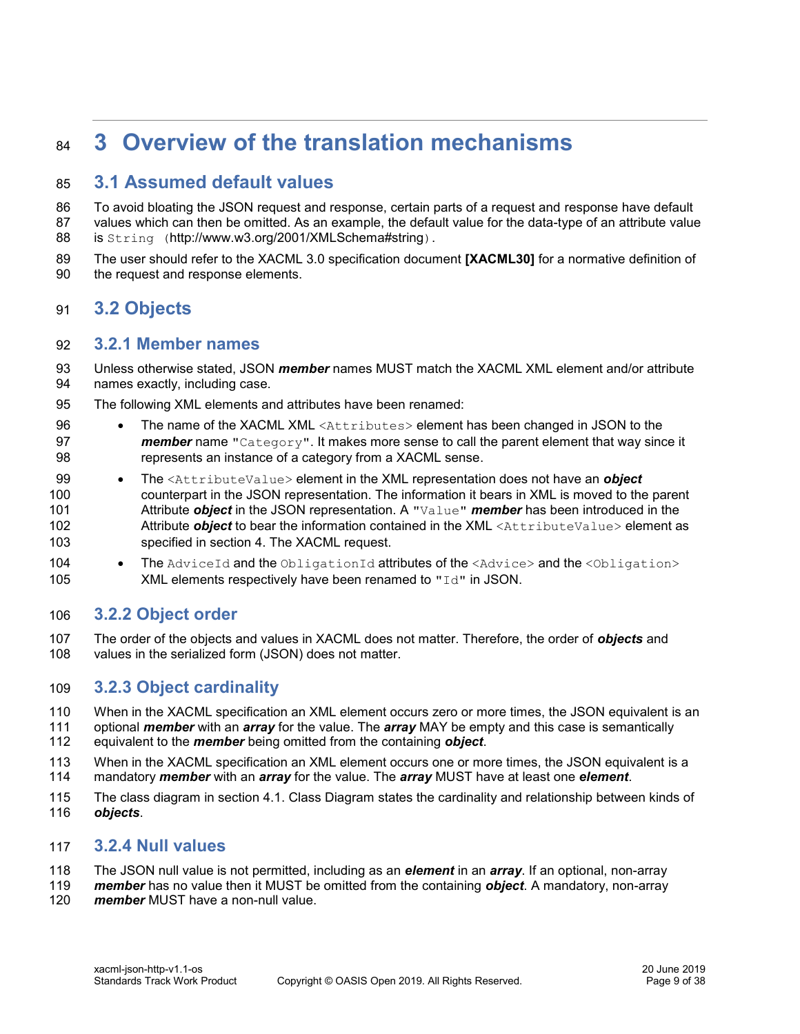# <span id="page-8-0"></span>**3 Overview of the translation mechanisms**

# <span id="page-8-1"></span>**3.1 Assumed default values**

 To avoid bloating the JSON request and response, certain parts of a request and response have default values which can then be omitted. As an example, the default value for the data-type of an attribute value 88 is String (http://www.w3.org/2001/XMLSchema#string).

 The user should refer to the XACML 3.0 specification document **[\[XACML30\]](#page-6-4)** for a normative definition of the request and response elements.

# <span id="page-8-2"></span>**3.2 Objects**

#### <span id="page-8-3"></span>**3.2.1 Member names**

- Unless otherwise stated, JSON *member* names MUST match the XACML XML element and/or attribute names exactly, including case.
- The following XML elements and attributes have been renamed:
- The name of the XACML XML <Attributes> element has been changed in JSON to the **member** name "Category". It makes more sense to call the parent element that way since it represents an instance of a category from a XACML sense.
- The <AttributeValue> element in the XML representation does not have an *object* counterpart in the JSON representation. The information it bears in XML is moved to the parent Attribute *object* in the JSON representation. A "Value" *member* has been introduced in the Attribute *object* to bear the information contained in the XML <AttributeValue> element as specified in section [4. The XACML request.](#page-13-0)
- 104 The AdviceId and the ObligationId attributes of the <Advice> and the <Obligation> 105 XML elements respectively have been renamed to  $\text{Tr} \alpha^{\text{m}}$  in JSON.

### <span id="page-8-4"></span>**3.2.2 Object order**

 The order of the objects and values in XACML does not matter. Therefore, the order of *objects* and values in the serialized form (JSON) does not matter.

#### <span id="page-8-5"></span>**3.2.3 Object cardinality**

- When in the XACML specification an XML element occurs zero or more times, the JSON equivalent is an optional *member* with an *array* for the value. The *array* MAY be empty and this case is semantically
- equivalent to the *member* being omitted from the containing *object*.
- When in the XACML specification an XML element occurs one or more times, the JSON equivalent is a mandatory *member* with an *array* for the value. The *array* MUST have at least one *element*.
- The class diagram in section [4.1. Class Diagram](#page-13-1) states the cardinality and relationship between kinds of *objects*.

#### <span id="page-8-6"></span>**3.2.4 Null values**

- The JSON null value is not permitted, including as an *element* in an *array*. If an optional, non-array
- *member* has no value then it MUST be omitted from the containing *object*. A mandatory, non-array
- *member* MUST have a non-null value.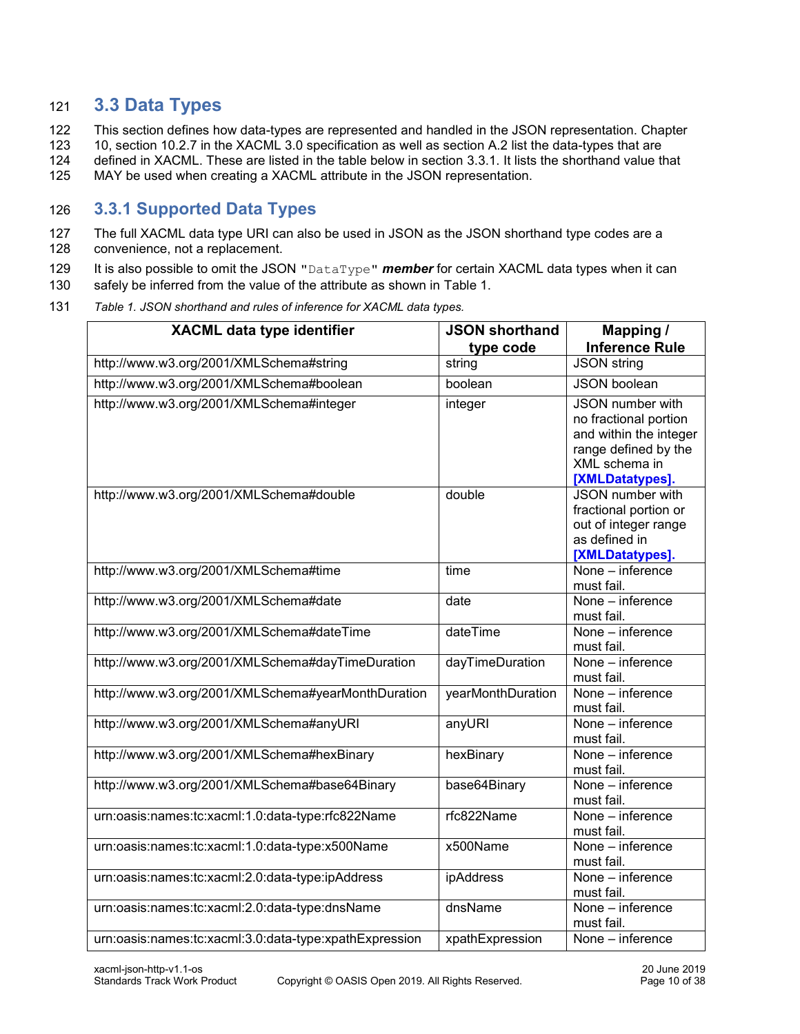# <span id="page-9-0"></span>121 **3.3 Data Types**

122 This section defines how data-types are represented and handled in the JSON representation. Chapter

123 10, section 10.2.7 in the XACML 3.0 specification as well as section A.2 list the data-types that are

124 defined in XACML. These are listed in the table below in section [3.3.1.](#page-9-1) It lists the shorthand value that

125 MAY be used when creating a XACML attribute in the JSON representation.

## <span id="page-9-1"></span>126 **3.3.1 Supported Data Types**

- 127 The full XACML data type URI can also be used in JSON as the JSON shorthand type codes are a 128 convenience, not a replacement.
- 129 It is also possible to omit the JSON "DataType" *member* for certain XACML data types when it can
- 130 safely be inferred from the value of the attribute as shown in [Table 1.](#page-9-2)
- 131 *Table 1. JSON shorthand and rules of inference for XACML data types.*

<span id="page-9-2"></span>

| <b>XACML data type identifier</b>                      | <b>JSON shorthand</b><br>type code | Mapping /<br><b>Inference Rule</b>                                                                                              |
|--------------------------------------------------------|------------------------------------|---------------------------------------------------------------------------------------------------------------------------------|
| http://www.w3.org/2001/XMLSchema#string                | string                             | <b>JSON string</b>                                                                                                              |
| http://www.w3.org/2001/XMLSchema#boolean               | boolean                            | <b>JSON</b> boolean                                                                                                             |
| http://www.w3.org/2001/XMLSchema#integer               | integer                            | JSON number with<br>no fractional portion<br>and within the integer<br>range defined by the<br>XML schema in<br>[XMLDatatypes]. |
| http://www.w3.org/2001/XMLSchema#double                | double                             | <b>JSON</b> number with<br>fractional portion or<br>out of integer range<br>as defined in<br>[XMLDatatypes].                    |
| http://www.w3.org/2001/XMLSchema#time                  | time                               | None - inference<br>must fail.                                                                                                  |
| http://www.w3.org/2001/XMLSchema#date                  | date                               | None - inference<br>must fail.                                                                                                  |
| http://www.w3.org/2001/XMLSchema#dateTime              | dateTime                           | None - inference<br>must fail.                                                                                                  |
| http://www.w3.org/2001/XMLSchema#dayTimeDuration       | dayTimeDuration                    | None - inference<br>must fail.                                                                                                  |
| http://www.w3.org/2001/XMLSchema#yearMonthDuration     | yearMonthDuration                  | None - inference<br>must fail.                                                                                                  |
| http://www.w3.org/2001/XMLSchema#anyURI                | anyURI                             | $\overline{\text{None}}$ – inference<br>must fail.                                                                              |
| http://www.w3.org/2001/XMLSchema#hexBinary             | hexBinary                          | None - inference<br>must fail.                                                                                                  |
| http://www.w3.org/2001/XMLSchema#base64Binary          | base64Binary                       | None - inference<br>must fail.                                                                                                  |
| urn:oasis:names:tc:xacml:1.0:data-type:rfc822Name      | rfc822Name                         | None - inference<br>must fail.                                                                                                  |
| urn:oasis:names:tc:xacml:1.0:data-type:x500Name        | x500Name                           | None - inference<br>must fail.                                                                                                  |
| urn:oasis:names:tc:xacml:2.0:data-type:ipAddress       | ipAddress                          | None – inference<br>must fail.                                                                                                  |
| urn:oasis:names:tc:xacml:2.0:data-type:dnsName         | dnsName                            | None - inference<br>must fail.                                                                                                  |
| urn:oasis:names:tc:xacml:3.0:data-type:xpathExpression | xpathExpression                    | None - inference                                                                                                                |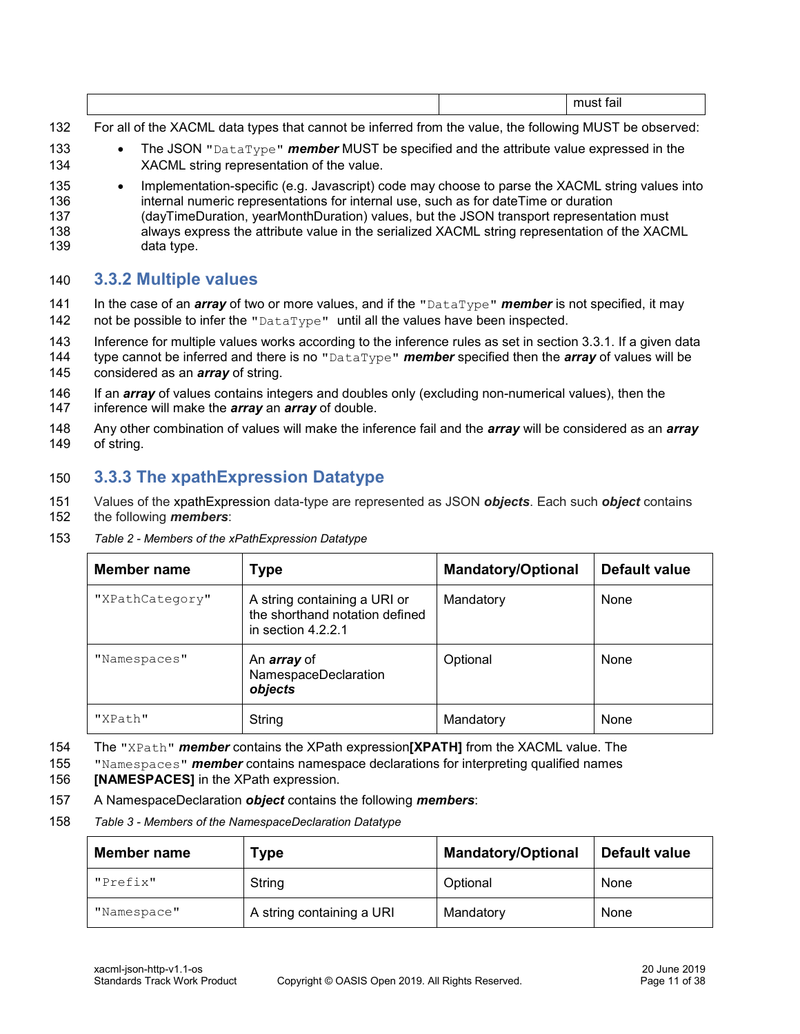|--|--|--|

- 132 For all of the XACML data types that cannot be inferred from the value, the following MUST be observed:
- 133 The JSON "DataType" *member* MUST be specified and the attribute value expressed in the 134 XACML string representation of the value.
- 135 Implementation-specific (e.g. Javascript) code may choose to parse the XACML string values into 136 internal numeric representations for internal use, such as for dateTime or duration 137 (dayTimeDuration, yearMonthDuration) values, but the JSON transport representation must 138 always express the attribute value in the serialized XACML string representation of the XACML 139 data type.

#### <span id="page-10-0"></span>140 **3.3.2 Multiple values**

- 141 In the case of an *array* of two or more values, and if the "DataType" *member* is not specified, it may 142 not be possible to infer the " $\text{DataType}$ " until all the values have been inspected.
- 143 Inference for multiple values works according to the inference rules as set in section [3.3.1.](#page-9-1) If a given data
- 144 type cannot be inferred and there is no "DataType" *member* specified then the *array* of values will be
- 145 considered as an *array* of string.
- 146 If an *array* of values contains integers and doubles only (excluding non-numerical values), then the
- 147 inference will make the *array* an *array* of double.
- 148 Any other combination of values will make the inference fail and the *array* will be considered as an *array* 149 of string.

# <span id="page-10-1"></span>150 **3.3.3 The xpathExpression Datatype**

- 151 Values of the xpathExpression data-type are represented as JSON *objects*. Each such *object* contains 152 the following *members*:
- 153 *Table 2 - Members of the xPathExpression Datatype*

| Member name     | <b>Type</b>                                                                            | <b>Mandatory/Optional</b> | Default value |
|-----------------|----------------------------------------------------------------------------------------|---------------------------|---------------|
| "XPathCategory" | A string containing a URI or<br>the shorthand notation defined<br>in section $4.2.2.1$ | Mandatory                 | None          |
| "Namespaces"    | An <i>array</i> of<br>NamespaceDeclaration<br>objects                                  | Optional                  | None          |
| "XPath"         | String                                                                                 | Mandatory                 | None          |

- 154 The "XPath" *member* contains the XPath expression**[\[XPATH\]](#page-6-5)** from the XACML value. The
- 155 "Namespaces" *member* contains namespace declarations for interpreting qualified names
- 156 **[\[NAMESPACES\]](#page-6-6)** in the XPath expression.
- 157 A NamespaceDeclaration *object* contains the following *members*:
- 158 *Table 3 - Members of the NamespaceDeclaration Datatype*

| <b>Member name</b> | Гуре                      | <b>Mandatory/Optional</b> | Default value |
|--------------------|---------------------------|---------------------------|---------------|
| "Prefix"           | String                    | Optional                  | None          |
| "Namespace"        | A string containing a URI | Mandatory                 | None          |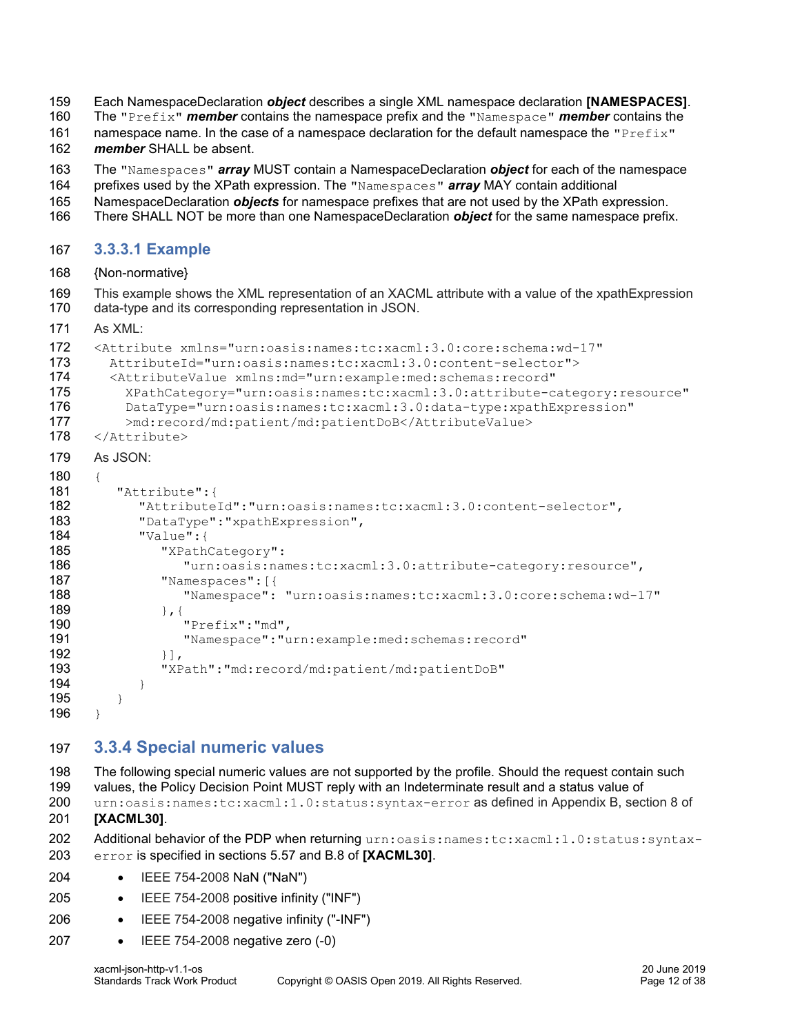- Each NamespaceDeclaration *object* describes a single XML namespace declaration **[\[NAMESPACES\]](#page-6-6)**.
- The "Prefix" *member* contains the namespace prefix and the "Namespace" *member* contains the
- 161 namespace name. In the case of a namespace declaration for the default namespace the " $Prefix$ "

*member* SHALL be absent.

- The "Namespaces" *array* MUST contain a NamespaceDeclaration *object* for each of the namespace
- prefixes used by the XPath expression. The "Namespaces" *array* MAY contain additional
- NamespaceDeclaration *objects* for namespace prefixes that are not used by the XPath expression.
- There SHALL NOT be more than one NamespaceDeclaration *object* for the same namespace prefix.

#### <span id="page-11-0"></span>**3.3.3.1 Example**

{Non-normative}

 This example shows the XML representation of an XACML attribute with a value of the xpathExpression data-type and its corresponding representation in JSON.

171 As  $XML·$ 

```
172 <Attribute xmlns="urn:oasis:names:tc:xacml:3.0:core:schema:wd-17"
173 AttributeId="urn:oasis:names:tc:xacml:3.0:content-selector">
174 <AttributeValue xmlns:md="urn:example:med:schemas:record"
175 XPathCategory="urn:oasis:names:tc:xacml:3.0:attribute-category:resource"
176 DataType="urn:oasis:names:tc:xacml:3.0:data-type:xpathExpression"
177 >md:record/md:patient/md:patientDoB</AttributeValue>
178 </Attribute>
179 As JSON:
180 {
181 "Attribute":{
182 "AttributeId":"urn:oasis:names:tc:xacml:3.0:content-selector",
183 "DataType":"xpathExpression",
184 "Value":{
185 "XPathCategory":
186 "urn:oasis:names:tc:xacml:3.0:attribute-category:resource",
187 "Namespaces":[{
188 "Namespace": "urn:oasis:names:tc:xacml:3.0:core:schema:wd-17"
189 }, \{190 "Prefix":"md",
191 "Namespace":"urn:example:med:schemas:record"
192 \{\},
193 "XPath":"md:record/md:patient/md:patientDoB"
194 }
195 }
196 }
```
### <span id="page-11-1"></span>**3.3.4 Special numeric values**

 The following special numeric values are not supported by the profile. Should the request contain such values, the Policy Decision Point MUST reply with an Indeterminate result and a status value of urn:oasis:names:tc:xacml:1.0:status:syntax-error as defined in Appendix B, section 8 of **[\[XACML30\]](#page-6-4)**.

- 202 Additional behavior of the PDP when returning urn: oasis: names: tc:xacml:1.0:status: syntax-error is specified in sections 5.57 and B.8 of **[\[XACML30\]](#page-6-4)**.
- IEEE 754-2008 NaN ("NaN")
- IEEE 754-2008 positive infinity ("INF")
- IEEE 754-2008 negative infinity ("-INF")
- IEEE 754-2008 negative zero (-0)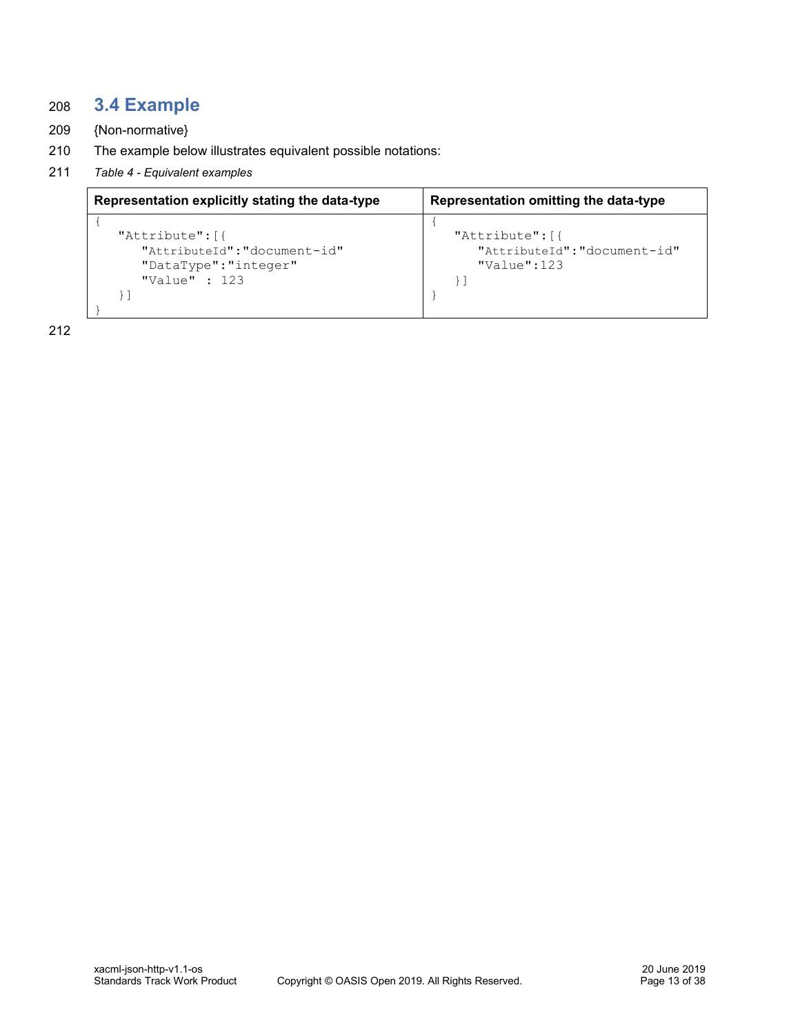# <span id="page-12-0"></span>208 **3.4 Example**

- 209 {Non-normative}
- 210 The example below illustrates equivalent possible notations:
- 211 *Table 4 - Equivalent examples*

| Representation explicitly stating the data-type                                            | Representation omitting the data-type                             |
|--------------------------------------------------------------------------------------------|-------------------------------------------------------------------|
| "Attribute": [{<br>"AttributeId": "document-id"<br>"DataType":"integer"<br>"Value" : $123$ | "Attribute": [{<br>"AttributeId":"document-id"<br>$"$ Value": 123 |

212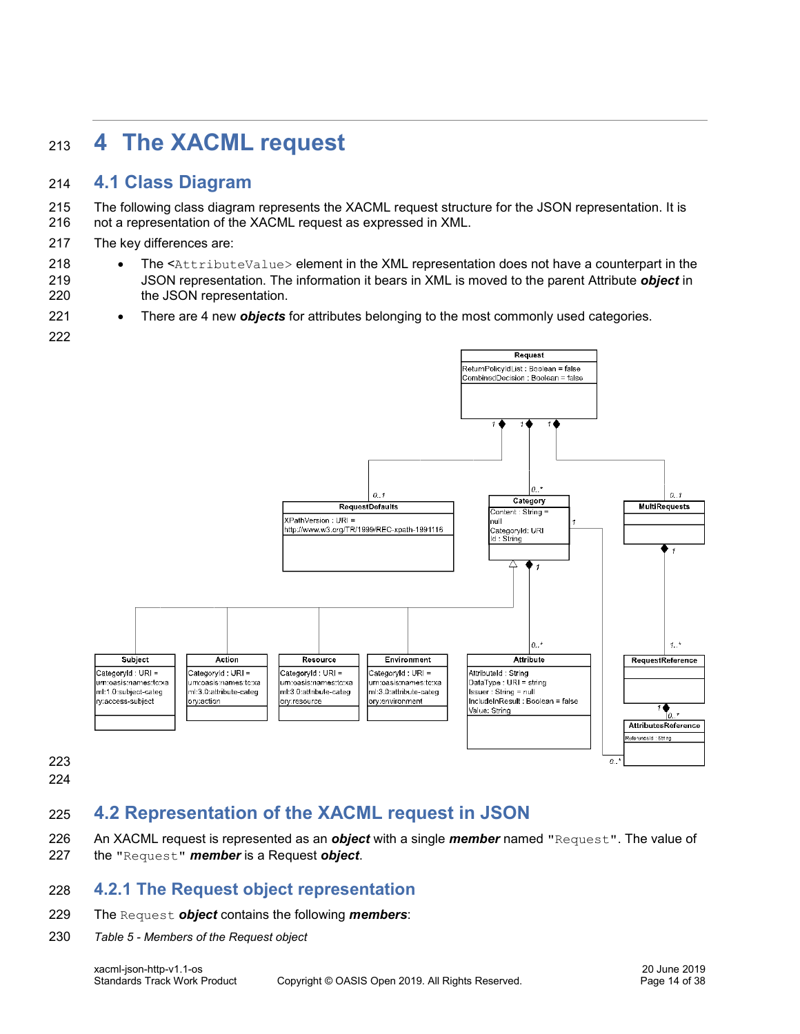# <span id="page-13-0"></span>**4 The XACML request**

# <span id="page-13-1"></span>**4.1 Class Diagram**

 The following class diagram represents the XACML request structure for the JSON representation. It is not a representation of the XACML request as expressed in XML.

- The key differences are:
- 218 The <AttributeValue> element in the XML representation does not have a counterpart in the JSON representation. The information it bears in XML is moved to the parent Attribute *object* in 220 the JSON representation.
- There are 4 new *objects* for attributes belonging to the most commonly used categories.
- 



- 
- 

# <span id="page-13-2"></span>**4.2 Representation of the XACML request in JSON**

- An XACML request is represented as an *object* with a single *member* named "Request". The value of
- the "Request" *member* is a Request *object*.

### <span id="page-13-3"></span>**4.2.1 The Request object representation**

- The Request *object* contains the following *members*:
- *Table 5 - Members of the Request object*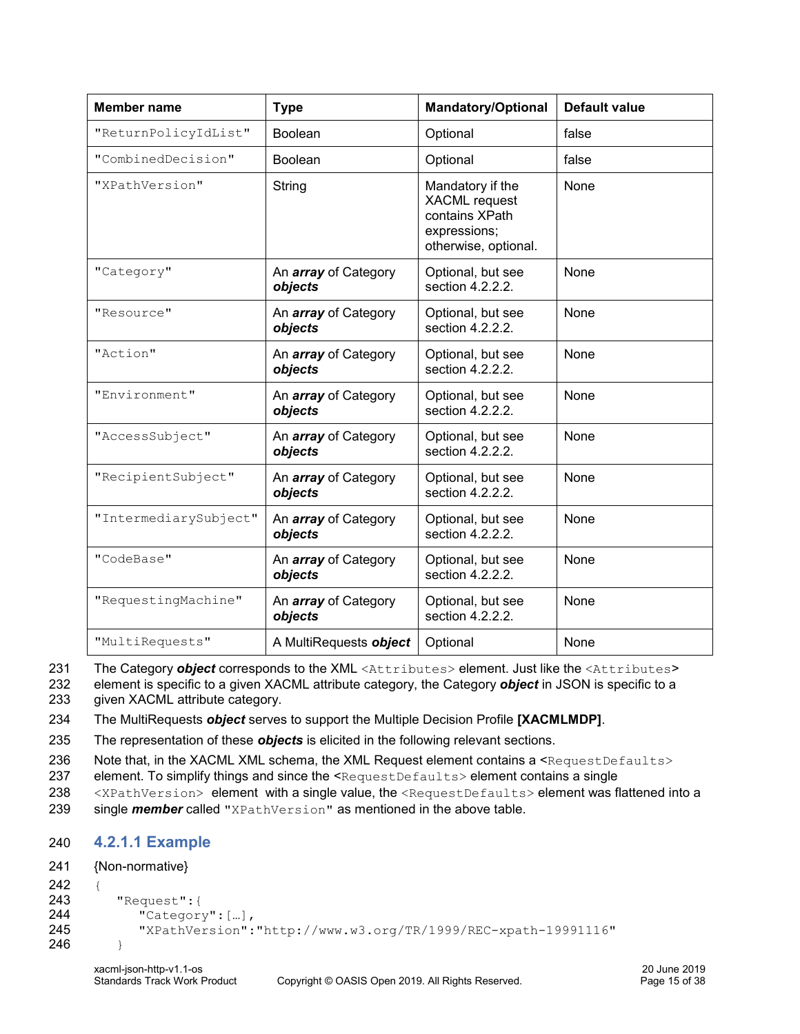| <b>Member name</b>    | <b>Type</b>                            | <b>Mandatory/Optional</b>                                                                          | <b>Default value</b> |
|-----------------------|----------------------------------------|----------------------------------------------------------------------------------------------------|----------------------|
| "ReturnPolicyIdList"  | Boolean                                | Optional                                                                                           | false                |
| "CombinedDecision"    | <b>Boolean</b>                         | Optional                                                                                           | false                |
| "XPathVersion"        | String                                 | Mandatory if the<br><b>XACML</b> request<br>contains XPath<br>expressions;<br>otherwise, optional. | None                 |
| "Category"            | An <i>array</i> of Category<br>objects | Optional, but see<br>section 4.2.2.2.                                                              | None                 |
| "Resource"            | An <i>array</i> of Category<br>objects | Optional, but see<br>section 4.2.2.2.                                                              | None                 |
| "Action"              | An <i>array</i> of Category<br>objects | Optional, but see<br>section 4.2.2.2.                                                              | None                 |
| "Environment"         | An <i>array</i> of Category<br>objects | Optional, but see<br>section 4.2.2.2.                                                              | None                 |
| "AccessSubject"       | An <i>array</i> of Category<br>objects | Optional, but see<br>section 4.2.2.2.                                                              | None                 |
| "RecipientSubject"    | An <i>array</i> of Category<br>objects | Optional, but see<br>section 4.2.2.2.                                                              | None                 |
| "IntermediarySubject" | An <i>array</i> of Category<br>objects | Optional, but see<br>section 4.2.2.2.                                                              | None                 |
| "CodeBase"            | An <i>array</i> of Category<br>objects | Optional, but see<br>section 4.2.2.2.                                                              | None                 |
| "RequestingMachine"   | An <i>array</i> of Category<br>objects | Optional, but see<br>section 4.2.2.2.                                                              | None                 |
| "MultiRequests"       | A MultiRequests object                 | Optional                                                                                           | None                 |

231 The Category *object* corresponds to the XML <Attributes> element. Just like the <Attributes>

232 element is specific to a given XACML attribute category, the Category *object* in JSON is specific to a 233 given XACML attribute category.

234 The MultiRequests *object* serves to support the Multiple Decision Profile **[\[XACMLMDP\]](#page-6-7)**.

235 The representation of these *objects* is elicited in the following relevant sections.

236 Note that, in the XACML XML schema, the XML Request element contains a <RequestDefaults>

237 element. To simplify things and since the <RequestDefaults> element contains a single

238 <XPathVersion> element with a single value, the <RequestDefaults> element was flattened into a 239 single *member* called "XPathVersion" as mentioned in the above table.

### <span id="page-14-0"></span>240 **4.2.1.1 Example**

```
241 {Non-normative}
242 {
243 "Request":{
244 "Category": [...],<br>245 "XPathVersion":
            245 "XPathVersion":"http://www.w3.org/TR/1999/REC-xpath-19991116"
246 }
```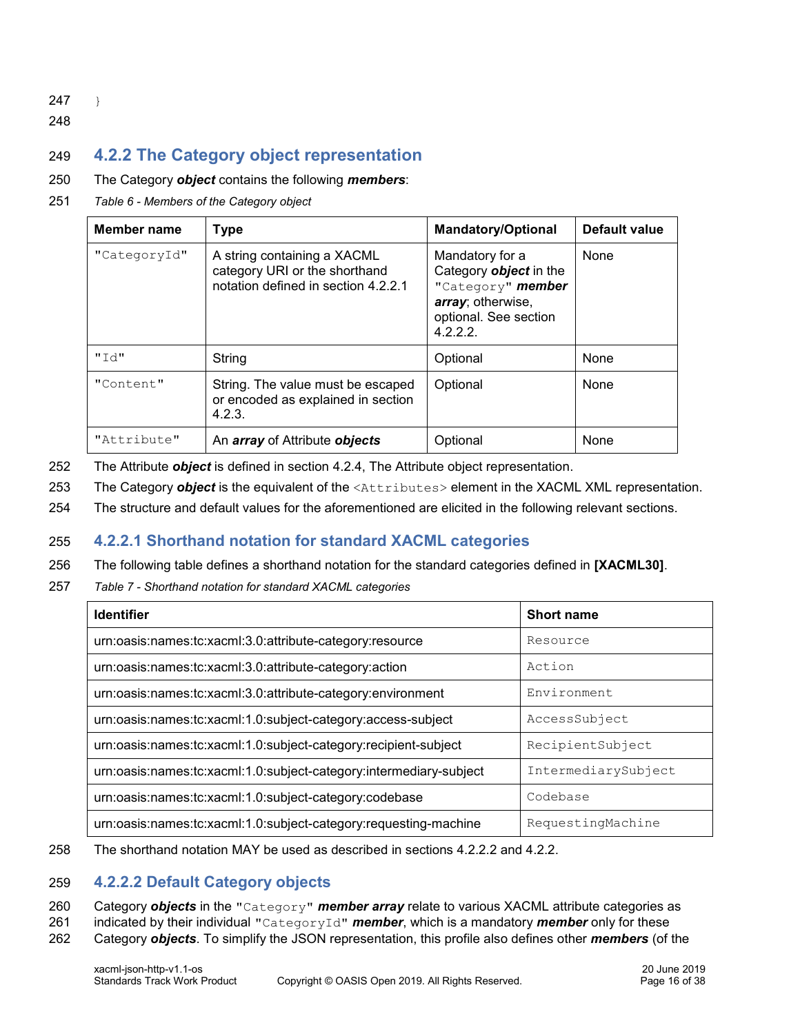247 }

248

# <span id="page-15-0"></span>249 **4.2.2 The Category object representation**

#### 250 The Category *object* contains the following *members*:

251 *Table 6 - Members of the Category object*

| Member name  | <b>Type</b>                                                                                         | <b>Mandatory/Optional</b>                                                                                                      | <b>Default value</b> |
|--------------|-----------------------------------------------------------------------------------------------------|--------------------------------------------------------------------------------------------------------------------------------|----------------------|
| "CategoryId" | A string containing a XACML<br>category URI or the shorthand<br>notation defined in section 4.2.2.1 | Mandatory for a<br>Category <b>object</b> in the<br>"Category" member<br>array; otherwise,<br>optional. See section<br>4.2.2.2 | None                 |
| "Td"         | String                                                                                              | Optional                                                                                                                       | None                 |
| "Content"    | String. The value must be escaped<br>or encoded as explained in section<br>4.2.3.                   | Optional                                                                                                                       | None                 |
| "Attribute"  | An <i>array</i> of Attribute <b>objects</b>                                                         | Optional                                                                                                                       | None                 |

- 252 The Attribute *object* is defined in section [4.2.4, The Attribute object representation.](#page-17-1)
- 253 The Category *object* is the equivalent of the <Attributes> element in the XACML XML representation.
- 254 The structure and default values for the aforementioned are elicited in the following relevant sections.

#### <span id="page-15-1"></span>255 **4.2.2.1 Shorthand notation for standard XACML categories**

- 256 The following table defines a shorthand notation for the standard categories defined in **[\[XACML30\]](#page-6-4)**.
- 257 *Table 7 - Shorthand notation for standard XACML categories*

| <b>Identifier</b>                                                  | <b>Short name</b>   |
|--------------------------------------------------------------------|---------------------|
| urn:oasis:names:tc:xacml:3.0:attribute-category:resource           | Resource            |
| urn:oasis:names:tc:xacml:3.0:attribute-category:action             | Action              |
| urn:oasis:names:tc:xacml:3.0:attribute-category:environment        | Environment         |
| urn:oasis:names:tc:xacml:1.0:subject-category:access-subject       | AccessSubject       |
| urn:oasis:names:tc:xacml:1.0:subject-category:recipient-subject    | RecipientSubject    |
| urn:oasis:names:tc:xacml:1.0:subject-category:intermediary-subject | IntermediarySubject |
| urn:oasis:names:tc:xacml:1.0:subject-category:codebase             | Codebase            |
| urn:oasis:names:tc:xacml:1.0:subject-category:requesting-machine   | RequestingMachine   |

258 The shorthand notation MAY be used as described in sections [4.2.2.2](#page-15-2) and [4.2.2.](#page-15-0)

#### <span id="page-15-2"></span>259 **4.2.2.2 Default Category objects**

- 260 Category *objects* in the "Category" *member array* relate to various XACML attribute categories as
- 261 indicated by their individual "CategoryId" *member*, which is a mandatory *member* only for these
- 262 Category *objects*. To simplify the JSON representation, this profile also defines other *members* (of the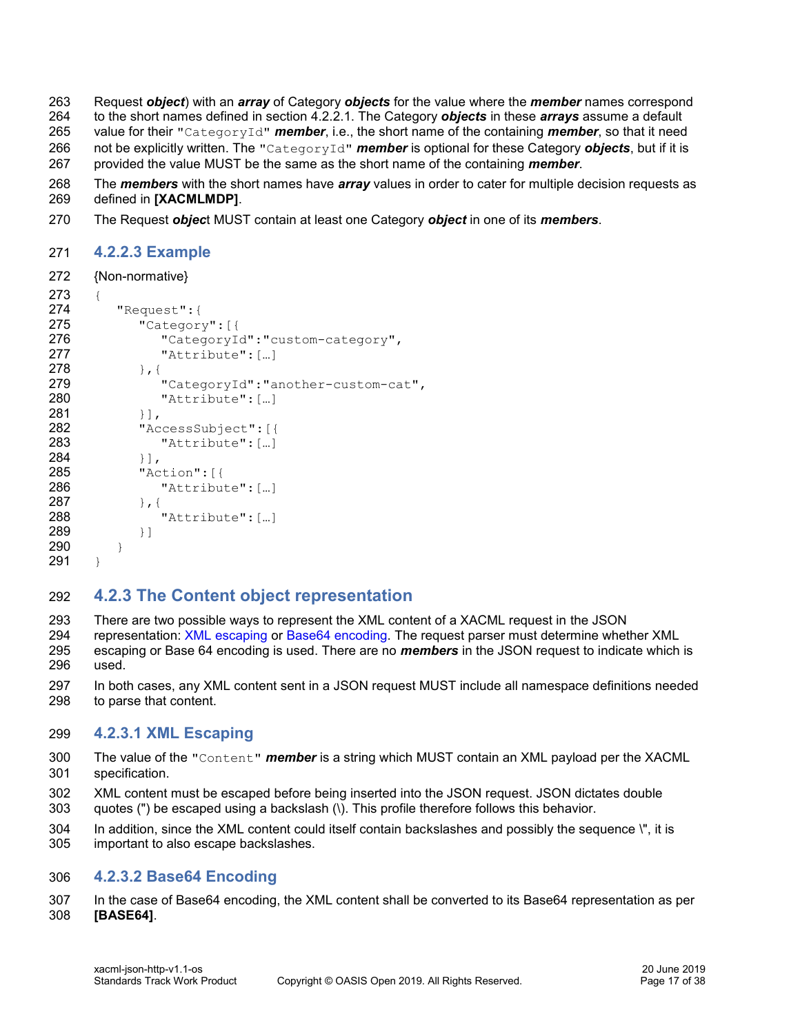Request *object*) with an *array* of Category *objects* for the value where the *member* names correspond to the short names defined in section [4.2.2.1.](#page-15-1) The Category *objects* in these *arrays* assume a default value for their "CategoryId" *member*, i.e., the short name of the containing *member*, so that it need not be explicitly written. The "CategoryId" *member* is optional for these Category *objects*, but if it is provided the value MUST be the same as the short name of the containing *member*.

 The *members* with the short names have *array* values in order to cater for multiple decision requests as defined in **[\[XACMLMDP\]](#page-6-7)**.

The Request *objec*t MUST contain at least one Category *object* in one of its *members*.

#### <span id="page-16-0"></span>**4.2.2.3 Example**

{Non-normative}

```
273 {
274 "Request":{
275 "Category": [{
276 "CategoryId":"custom-category",
277 "Attribute":[…]
278 }, {
279 "CategoryId":"another-custom-cat",
280 "Attribute":[…]
281 } ],
282 "AccessSubject":[{
283 "Attribute":[…]
284 }],
285 "Action":[{
286 "Attribute":[…]
287 }, \{288 "Attribute":[…]
289 }]
290 }
291 }
```
### <span id="page-16-1"></span>**4.2.3 The Content object representation**

There are two possible ways to represent the XML content of a XACML request in the JSON

 representation: [XML escaping](#page-16-2) or [Base64 encoding.](#page-16-3) The request parser must determine whether XML escaping or Base 64 encoding is used. There are no *members* in the JSON request to indicate which is used.

 In both cases, any XML content sent in a JSON request MUST include all namespace definitions needed to parse that content.

#### <span id="page-16-2"></span>**4.2.3.1 XML Escaping**

- The value of the "Content" *member* is a string which MUST contain an XML payload per the XACML specification.
- XML content must be escaped before being inserted into the JSON request. JSON dictates double quotes (") be escaped using a backslash (\). This profile therefore follows this behavior.
- In addition, since the XML content could itself contain backslashes and possibly the sequence \", it is
- important to also escape backslashes.

#### <span id="page-16-3"></span>**4.2.3.2 Base64 Encoding**

 In the case of Base64 encoding, the XML content shall be converted to its Base64 representation as per **[\[BASE64\]](#page-6-8)**.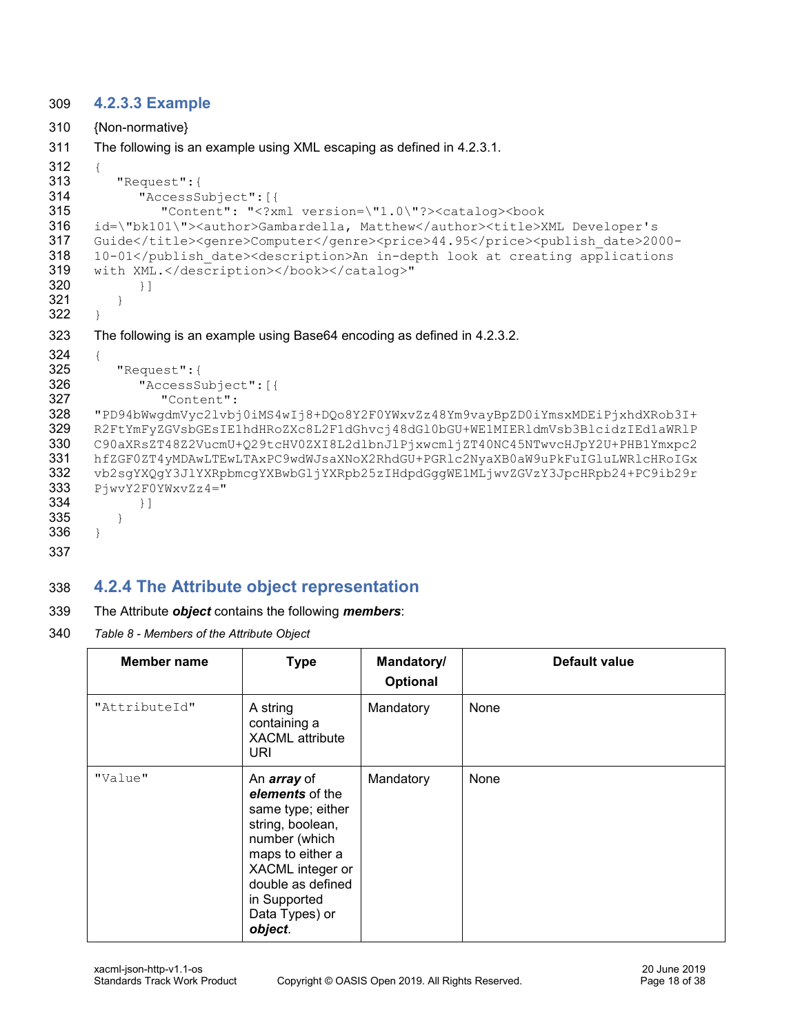#### <span id="page-17-0"></span>309 **4.2.3.3 Example**

```
310 {Non-normative}
311 The following is an example using XML escaping as defined in 4.2.3.1.
312 {
313 "Request":{
314 "AccessSubject":[{
315 "Content": "<?xml version=\"1.0\"?><catalog><book 
316 id=\"bk101\"><author>Gambardella, Matthew</author><title>XML Developer's 
317 Guide</title><genre>Computer</genre><price>44.95</price><publish_date>2000-
318 10-01</publish date><description>An in-depth look at creating applications
319 with XML.</description></book></catalog>"
320 } 1
321322 }
323 The following is an example using Base64 encoding as defined in 4.2.3.2.
324 {
325 "Request":{
326 "AccessSubject":[{
327 "Content": 
328 "PD94bWwgdmVyc2lvbj0iMS4wIj8+DQo8Y2F0YWxvZz48Ym9vayBpZD0iYmsxMDEiPjxhdXRob3I+
329 R2FtYmFyZGVsbGEsIE1hdHRoZXc8L2F1dGhvcj48dGl0bGU+WE1MIERldmVsb3BlcidzIEd1aWRlP
330 C90aXRsZT48Z2VucmU+Q29tcHV0ZXI8L2dlbnJlPjxwcmljZT40NC45NTwvcHJpY2U+PHB1Ymxpc2
331 hfZGF0ZT4yMDAwLTEwLTAxPC9wdWJsaXNoX2RhdGU+PGRlc2NyaXB0aW9uPkFuIGluLWRlcHRoIGx
332 vb2sgYXQgY3JlYXRpbmcgYXBwbGljYXRpb25zIHdpdGggWE1MLjwvZGVzY3JpcHRpb24+PC9ib29r
333 PjwvY2F0YWxvZz4 = "334 }]
335 }
336 }
337
```
# <span id="page-17-1"></span>338 **4.2.4 The Attribute object representation**

- 339 The Attribute *object* contains the following *members*:
- 340 *Table 8 - Members of the Attribute Object*

| <b>Member name</b> | <b>Type</b>                                                                                                                                                                                               | Mandatory/<br><b>Optional</b> | <b>Default value</b> |
|--------------------|-----------------------------------------------------------------------------------------------------------------------------------------------------------------------------------------------------------|-------------------------------|----------------------|
| "AttributeId"      | A string<br>containing a<br><b>XACML</b> attribute<br>URI                                                                                                                                                 | Mandatory                     | None                 |
| "Value"            | An <i>array</i> of<br>elements of the<br>same type; either<br>string, boolean,<br>number (which<br>maps to either a<br>XACML integer or<br>double as defined<br>in Supported<br>Data Types) or<br>object. |                               | None                 |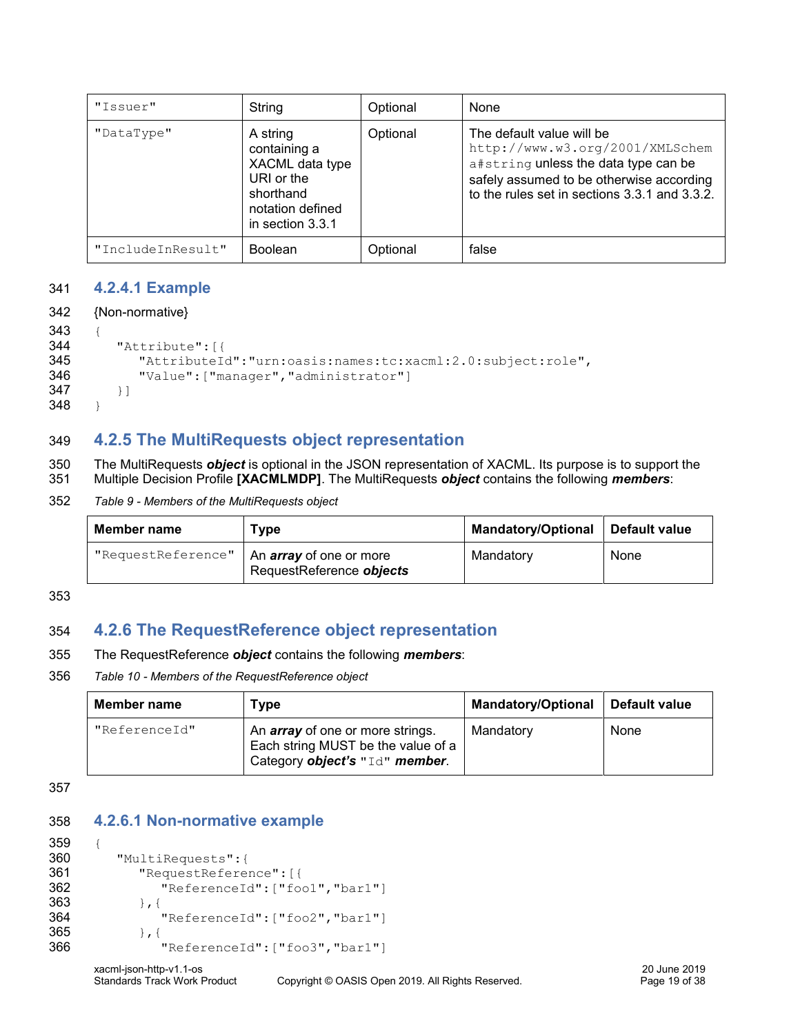| "Issuer"          | String                                                                                                         | Optional | None                                                                                                                                                                                              |
|-------------------|----------------------------------------------------------------------------------------------------------------|----------|---------------------------------------------------------------------------------------------------------------------------------------------------------------------------------------------------|
| "DataType"        | A string<br>containing a<br>XACML data type<br>URI or the<br>shorthand<br>notation defined<br>in section 3.3.1 | Optional | The default value will be<br>http://www.w3.org/2001/XMLSchem<br>a#string unless the data type can be<br>safely assumed to be otherwise according<br>to the rules set in sections 3.3.1 and 3.3.2. |
| "IncludeInResult" | <b>Boolean</b>                                                                                                 | Optional | false                                                                                                                                                                                             |

#### <span id="page-18-0"></span>341 **4.2.4.1 Example**

```
342 {Non-normative}
```

```
343 {
344 "Attribute":[{
345 "AttributeId":"urn:oasis:names:tc:xacml:2.0:subject:role",
346 "Value":["manager","administrator"]
347 }]
348 }
```
### <span id="page-18-1"></span>349 **4.2.5 The MultiRequests object representation**

350 The MultiRequests *object* is optional in the JSON representation of XACML. Its purpose is to support the 351 Multiple Decision Profile **[\[XACMLMDP\]](#page-6-7)**. The MultiRequests *object* contains the following *members*:

#### 352 *Table 9 - Members of the MultiRequests object*

| <b>Member name</b> | Type                                                       | <b>Mandatory/Optional</b> | Default value |
|--------------------|------------------------------------------------------------|---------------------------|---------------|
| "RequestReference" | An <i>array</i> of one or more<br>RequestReference objects | Mandatory                 | None          |

353

# <span id="page-18-2"></span>354 **4.2.6 The RequestReference object representation**

- 355 The RequestReference *object* contains the following *members*:
- 356 *Table 10 - Members of the RequestReference object*

| <b>Member name</b> | Type                                                                                                            | <b>Mandatory/Optional</b> | Default value |
|--------------------|-----------------------------------------------------------------------------------------------------------------|---------------------------|---------------|
| "ReferenceId"      | An <i>array</i> of one or more strings.<br>Each string MUST be the value of a<br>Category object's "Id" member. | Mandatory                 | None          |

357

#### <span id="page-18-3"></span>358 **4.2.6.1 Non-normative example**

```
359 {
360 "MultiRequests":{
361 "RequestReference":[{
362 "ReferenceId":["foo1","bar1"]
363 }, {
364 "ReferenceId":["foo2","bar1"]
365 },{
366 "ReferenceId":["foo3","bar1"]
```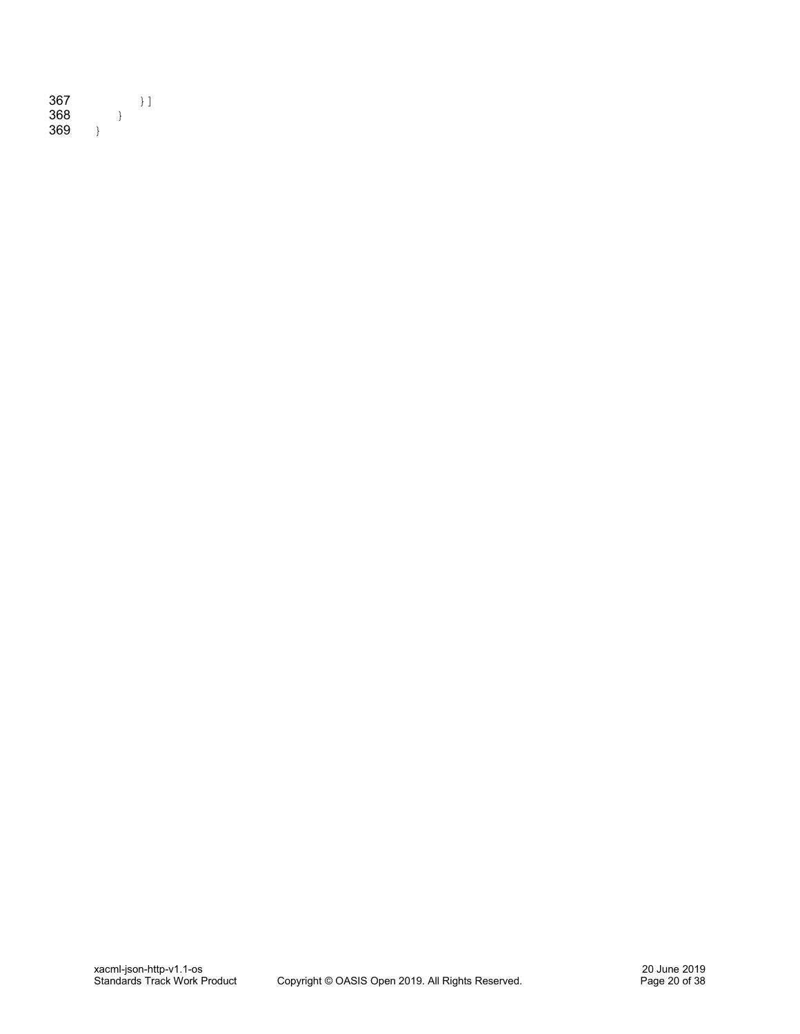| 367 |  | łΙ |
|-----|--|----|
| 368 |  |    |
| 369 |  |    |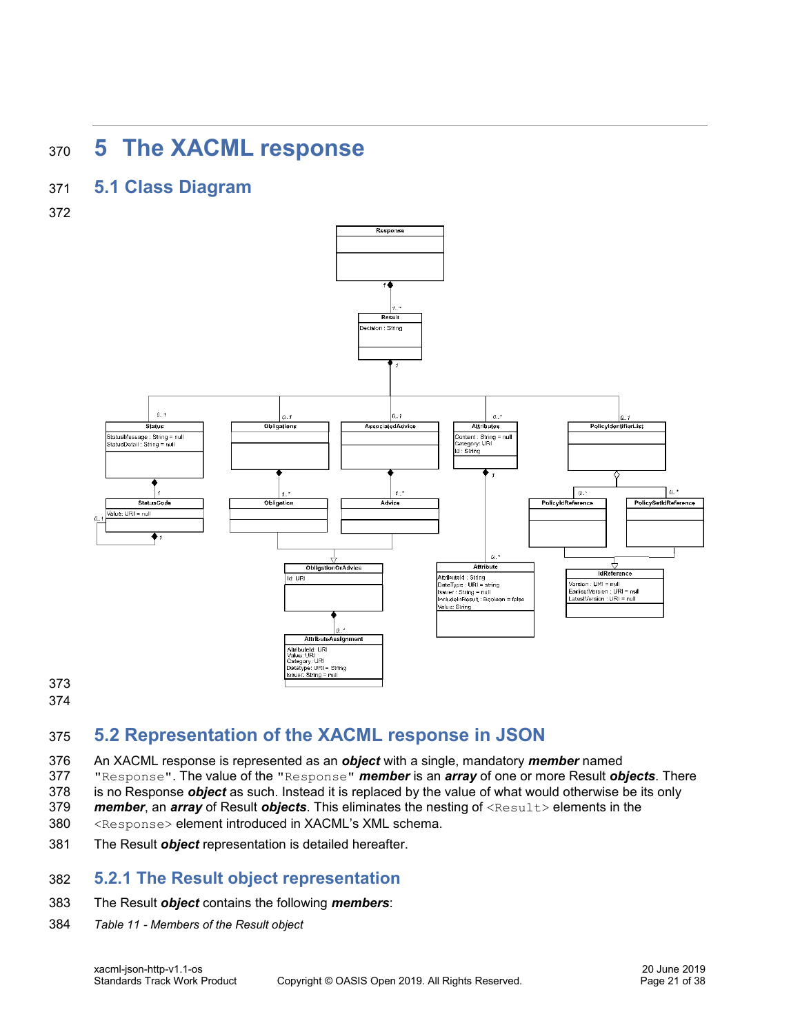# <span id="page-20-0"></span>**5 The XACML response**

# **5.1 Class Diagram**

<span id="page-20-1"></span>

# <span id="page-20-2"></span>**5.2 Representation of the XACML response in JSON**

- An XACML response is represented as an *object* with a single, mandatory *member* named
- "Response". The value of the "Response" *member* is an *array* of one or more Result *objects*. There
- is no Response *object* as such. Instead it is replaced by the value of what would otherwise be its only
- *member*, an *array* of Result *objects*. This eliminates the nesting of <Result> elements in the
- <Response> element introduced in XACML's XML schema.
- The Result *object* representation is detailed hereafter.

# <span id="page-20-3"></span>**5.2.1 The Result object representation**

#### The Result *object* contains the following *members*:

*Table 11 - Members of the Result object*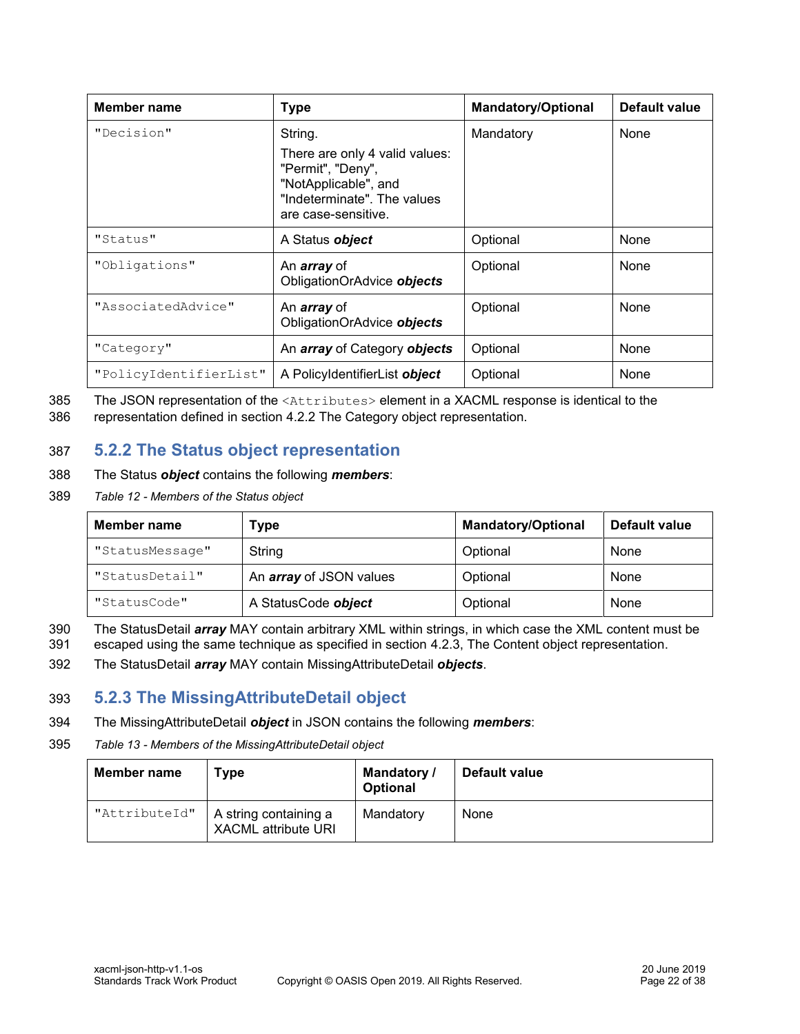| Member name            | <b>Type</b>                                                                                                                       | <b>Mandatory/Optional</b> | Default value |
|------------------------|-----------------------------------------------------------------------------------------------------------------------------------|---------------------------|---------------|
| "Decision"             | String.                                                                                                                           | Mandatory                 | None          |
|                        | There are only 4 valid values:<br>"Permit", "Deny",<br>"NotApplicable", and<br>"Indeterminate". The values<br>are case-sensitive. |                           |               |
| "Status"               | A Status object                                                                                                                   | Optional                  | None          |
| "Obligations"          | An <i>array</i> of<br>ObligationOrAdvice objects                                                                                  | Optional                  | None          |
| "AssociatedAdvice"     | An <i>array</i> of<br>ObligationOrAdvice objects                                                                                  | Optional                  | None          |
| "Category"             | An <i>array</i> of Category <b>objects</b>                                                                                        | Optional                  | None          |
| "PolicyIdentifierList" | A PolicyIdentifierList object                                                                                                     | Optional                  | None          |

385 The JSON representation of the <Attributes> element in a XACML response is identical to the 386 representation defined in section [4.2.2](#page-15-0) [The Category object representation.](#page-15-0)

### <span id="page-21-0"></span>387 **5.2.2 The Status object representation**

- 388 The Status *object* contains the following *members*:
- 389 *Table 12 - Members of the Status object*

| Member name     | Type                           | <b>Mandatory/Optional</b> | Default value |
|-----------------|--------------------------------|---------------------------|---------------|
| "StatusMessage" | String                         | Optional                  | None          |
| "StatusDetail"  | An <i>array</i> of JSON values | Optional                  | None          |
| "StatusCode"    | A StatusCode object            | Optional                  | None          |

390 The StatusDetail *array* MAY contain arbitrary XML within strings, in which case the XML content must be

- 391 escaped using the same technique as specified in section [4.2.3, The Content object representation.](#page-16-1)
- 392 The StatusDetail *array* MAY contain MissingAttributeDetail *objects*.

### <span id="page-21-1"></span>393 **5.2.3 The MissingAttributeDetail object**

- 394 The MissingAttributeDetail *object* in JSON contains the following *members*:
- 395 *Table 13 - Members of the MissingAttributeDetail object*

| Member name   | Type                                                | Mandatory /<br><b>Optional</b> | <b>Default value</b> |
|---------------|-----------------------------------------------------|--------------------------------|----------------------|
| "AttributeId" | A string containing a<br><b>XACML attribute URI</b> | Mandatory                      | None                 |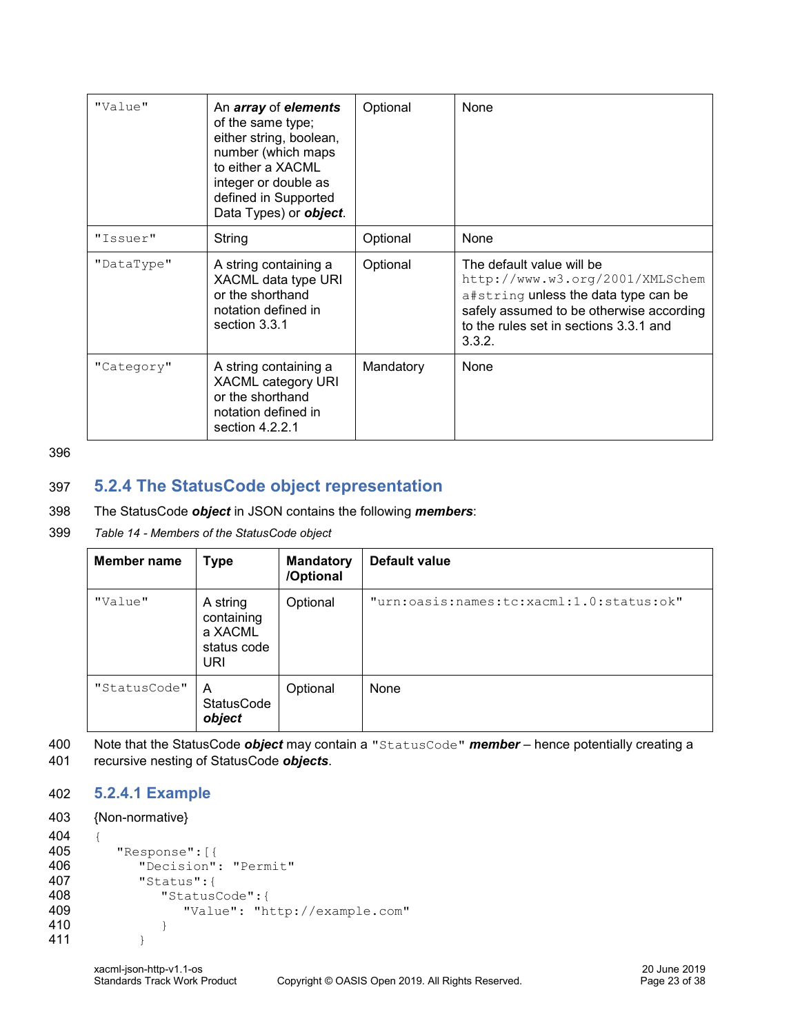| "Value"    | An array of elements<br>of the same type;<br>either string, boolean,<br>number (which maps<br>to either a XACML<br>integer or double as<br>defined in Supported<br>Data Types) or <b>object</b> . | Optional  | None                                                                                                                                                                                                 |
|------------|---------------------------------------------------------------------------------------------------------------------------------------------------------------------------------------------------|-----------|------------------------------------------------------------------------------------------------------------------------------------------------------------------------------------------------------|
| "Issuer"   | String                                                                                                                                                                                            | Optional  | None                                                                                                                                                                                                 |
| "DataType" | A string containing a<br>XACML data type URI<br>or the shorthand<br>notation defined in<br>section 3.3.1                                                                                          | Optional  | The default value will be<br>http://www.w3.org/2001/XMLSchem<br>a#string unless the data type can be<br>safely assumed to be otherwise according<br>to the rules set in sections 3.3.1 and<br>3.3.2. |
| "Category" | A string containing a<br>XACML category URI<br>or the shorthand<br>notation defined in<br>section $4.2.2.1$                                                                                       | Mandatory | None                                                                                                                                                                                                 |

396

# <span id="page-22-0"></span>397 **5.2.4 The StatusCode object representation**

#### 398 The StatusCode *object* in JSON contains the following *members*:

399 *Table 14 - Members of the StatusCode object*

| <b>Member name</b> | <b>Type</b>                                             | <b>Mandatory</b><br>/Optional | <b>Default value</b>                     |
|--------------------|---------------------------------------------------------|-------------------------------|------------------------------------------|
| "Value"            | A string<br>containing<br>a XACML<br>status code<br>URI | Optional                      | "urn:oasis:names:tc:xacml:1.0:status:ok" |
| "StatusCode"       | A<br><b>StatusCode</b><br>object                        | Optional                      | None                                     |

400 Note that the StatusCode *object* may contain a "StatusCode" *member* – hence potentially creating a 401 recursive nesting of StatusCode *objects*.

# <span id="page-22-1"></span>402 **5.2.4.1 Example**

#### 403 {Non-normative}

```
404 {
```

```
405 "Response":[{
406 "Decision": "Permit"
407 "Status":{
408 "StatusCode":{
409 "Value": "http://example.com"
410 }
411 }
```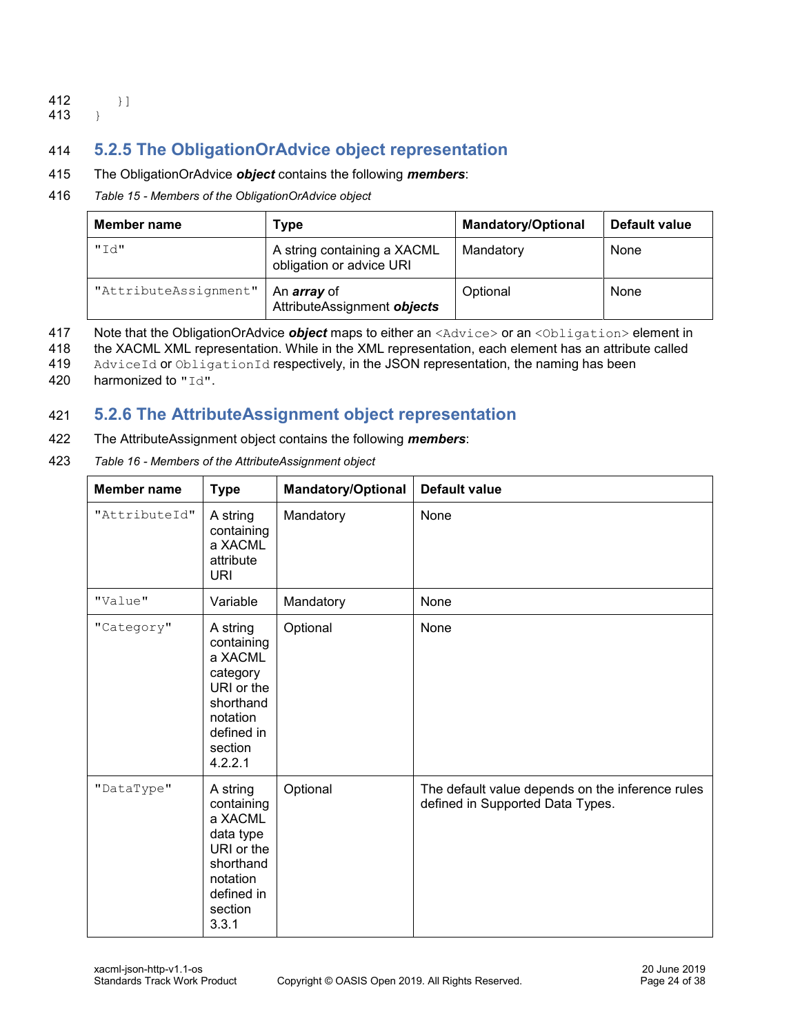#### $412$  } ] 413 }

# <span id="page-23-0"></span>414 **5.2.5 The ObligationOrAdvice object representation**

#### 415 The ObligationOrAdvice *object* contains the following *members*:

#### 416 *Table 15 - Members of the ObligationOrAdvice object*

| Member name           | Type                                                    | <b>Mandatory/Optional</b> | Default value |
|-----------------------|---------------------------------------------------------|---------------------------|---------------|
| "Td"                  | A string containing a XACML<br>obligation or advice URI | Mandatory                 | None          |
| "AttributeAssignment" | An <i>array</i> of<br>AttributeAssignment objects       | Optional                  | None          |

417 Note that the ObligationOrAdvice *object* maps to either an <Advice> or an <Obligation> element in

418 the XACML XML representation. While in the XML representation, each element has an attribute called

419 AdviceId or ObligationId respectively, in the JSON representation, the naming has been

420 harmonized to "Id".

### <span id="page-23-1"></span>421 **5.2.6 The AttributeAssignment object representation**

422 The AttributeAssignment object contains the following *members*:

423 *Table 16 - Members of the AttributeAssignment object*

| Member name   | <b>Type</b>                                                                                                              | <b>Mandatory/Optional</b> | <b>Default value</b>                                                                 |
|---------------|--------------------------------------------------------------------------------------------------------------------------|---------------------------|--------------------------------------------------------------------------------------|
| "AttributeId" | A string<br>containing<br>a XACML<br>attribute<br><b>URI</b>                                                             | Mandatory                 | None                                                                                 |
| "Value"       | Variable                                                                                                                 | Mandatory                 | None                                                                                 |
| "Category"    | A string<br>containing<br>a XACML<br>category<br>URI or the<br>shorthand<br>notation<br>defined in<br>section<br>4.2.2.1 | Optional                  | None                                                                                 |
| "DataType"    | A string<br>containing<br>a XACML<br>data type<br>URI or the<br>shorthand<br>notation<br>defined in<br>section<br>3.3.1  | Optional                  | The default value depends on the inference rules<br>defined in Supported Data Types. |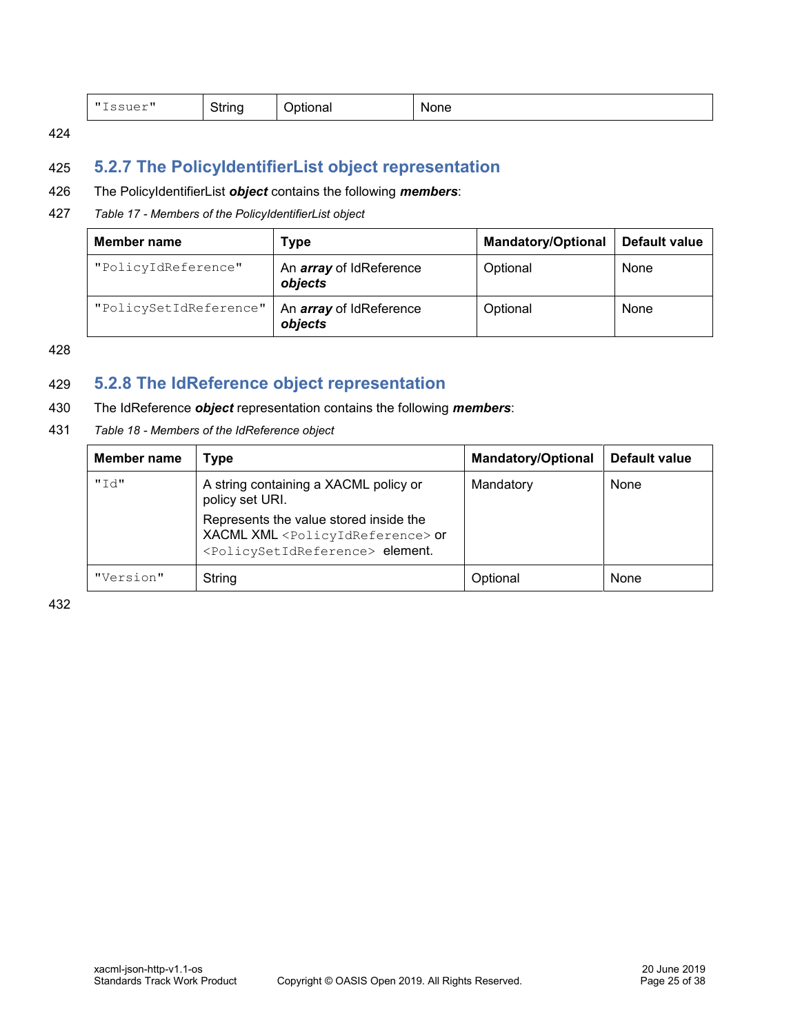| $H$ T<br>--<br>-<br>.<br>$\sim$ $\sim$ $\sim$<br>``<br>ગાa∟<br>. | - --<br>inone |
|------------------------------------------------------------------|---------------|
|------------------------------------------------------------------|---------------|

424

# <span id="page-24-0"></span>425 **5.2.7 The PolicyIdentifierList object representation**

#### 426 The PolicyIdentifierList *object* contains the following *members*:

#### 427 *Table 17 - Members of the PolicyIdentifierList object*

| Member name                                                         | Type                                      | <b>Mandatory/Optional</b> | Default value |
|---------------------------------------------------------------------|-------------------------------------------|---------------------------|---------------|
| "PolicyIdReference"                                                 | An <i>array</i> of IdReference<br>objects |                           | None          |
| "PolicySetIdReference"<br>An <i>array</i> of IdReference<br>objects |                                           | Optional                  | None          |

428

### <span id="page-24-1"></span>429 **5.2.8 The IdReference object representation**

#### 430 The IdReference *object* representation contains the following *members*:

431 *Table 18 - Members of the IdReference object*

| <b>Member name</b> | Type                                                                                                                                                      | <b>Mandatory/Optional</b> | Default value |
|--------------------|-----------------------------------------------------------------------------------------------------------------------------------------------------------|---------------------------|---------------|
| "Id"               | A string containing a XACML policy or<br>policy set URI.                                                                                                  | Mandatory                 | None          |
|                    | Represents the value stored inside the<br>XACML XML <policyidreference> or<br/><policysetidreference> element.</policysetidreference></policyidreference> |                           |               |
| "Version"          | String                                                                                                                                                    | Optional                  | None          |

432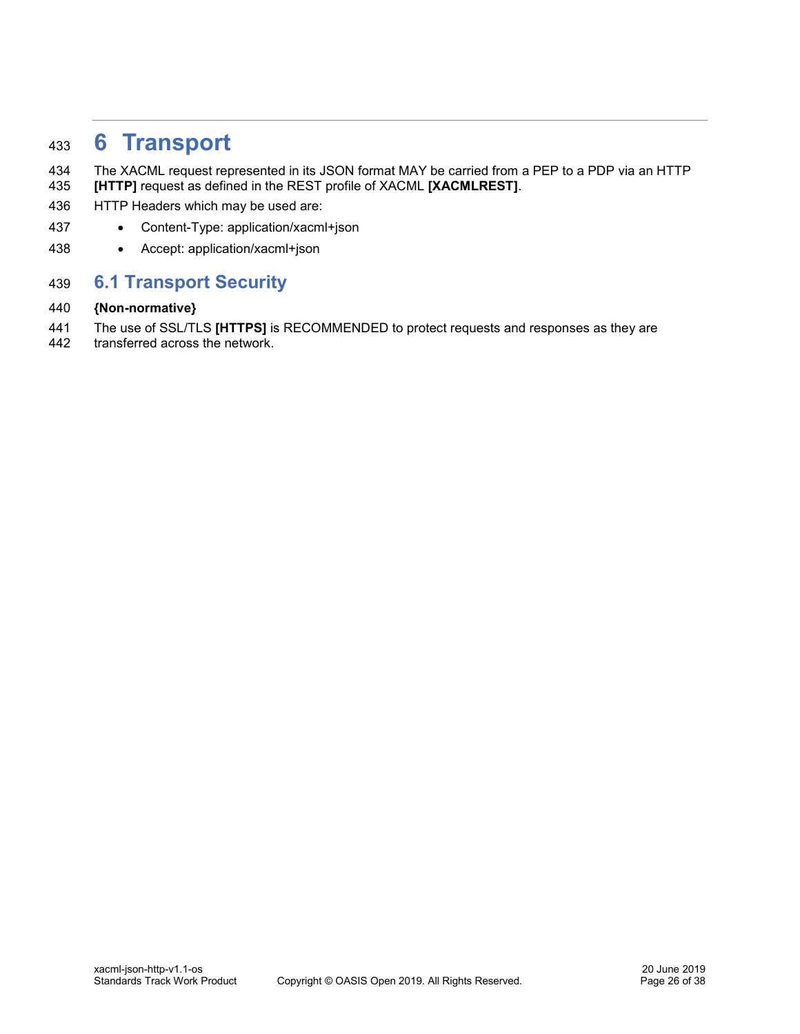# <span id="page-25-0"></span>**6 Transport**

- The XACML request represented in its JSON format MAY be carried from a PEP to a PDP via an HTTP **[\[HTTP\]](#page-6-9)** request as defined in the REST profile of XACML **[\[XACMLREST\]](#page-6-10)**.
- HTTP Headers which may be used are:
- Content-Type: application/xacml+json
- Accept: application/xacml+json

# <span id="page-25-1"></span>**6.1 Transport Security**

#### **{Non-normative}**

- The use of SSL/TLS **[\[HTTPS\]](#page-6-11)** is RECOMMENDED to protect requests and responses as they are
- transferred across the network.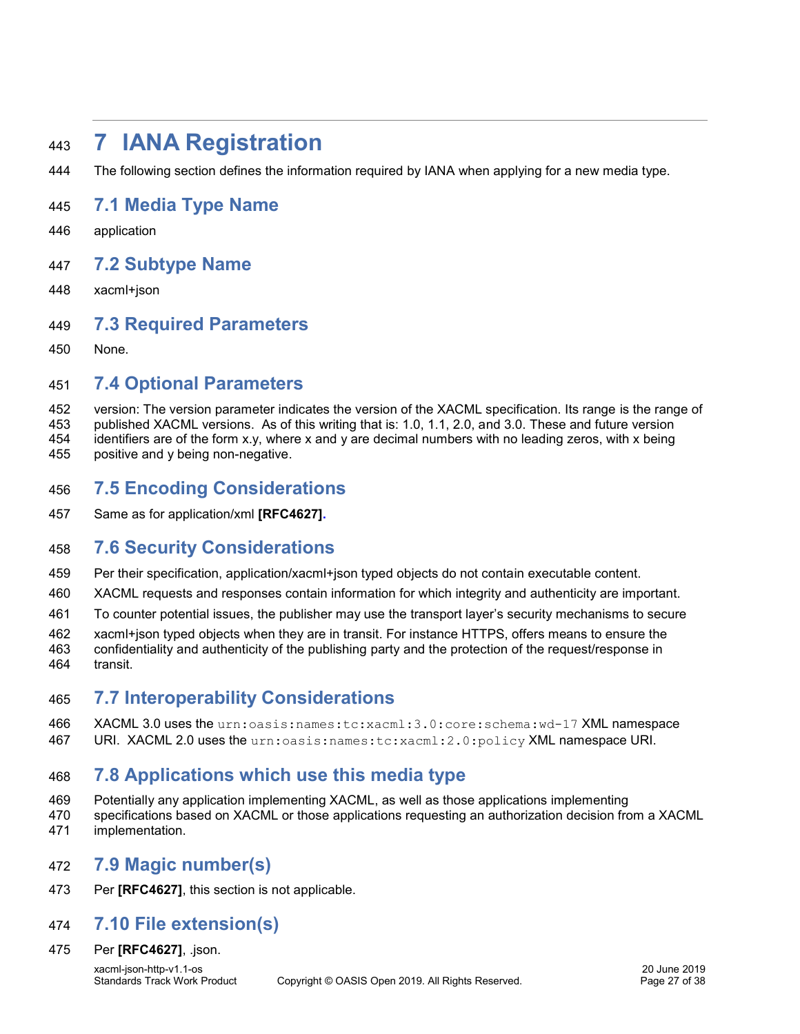# <span id="page-26-0"></span>**7 IANA Registration**

The following section defines the information required by IANA when applying for a new media type.

### <span id="page-26-1"></span>**7.1 Media Type Name**

application

### <span id="page-26-2"></span>**7.2 Subtype Name**

xacml+json

### <span id="page-26-3"></span>**7.3 Required Parameters**

None.

# <span id="page-26-4"></span>**7.4 Optional Parameters**

 version: The version parameter indicates the version of the XACML specification. Its range is the range of published XACML versions. As of this writing that is: 1.0, 1.1, 2.0, and 3.0. These and future version identifiers are of the form x.y, where x and y are decimal numbers with no leading zeros, with x being positive and y being non-negative.

- <span id="page-26-5"></span>**7.5 Encoding Considerations**
- Same as for application/xml **[\[RFC4627\]](#page-6-12)[.](#page-6-1)**

# <span id="page-26-6"></span>**7.6 Security Considerations**

- Per their specification, application/xacml+json typed objects do not contain executable content.
- XACML requests and responses contain information for which integrity and authenticity are important.
- To counter potential issues, the publisher may use the transport layer's security mechanisms to secure

xacml+json typed objects when they are in transit. For instance HTTPS, offers means to ensure the

 confidentiality and authenticity of the publishing party and the protection of the request/response in transit.

# <span id="page-26-7"></span>**7.7 Interoperability Considerations**

 XACML 3.0 uses the urn:oasis:names:tc:xacml:3.0:core:schema:wd-17 XML namespace URI. XACML 2.0 uses the urn:oasis:names:tc:xacml:2.0:policy XML namespace URI.

# <span id="page-26-8"></span>**7.8 Applications which use this media type**

- Potentially any application implementing XACML, as well as those applications implementing
- specifications based on XACML or those applications requesting an authorization decision from a XACML
- implementation.

### <span id="page-26-9"></span>**7.9 Magic number(s)**

Per **[\[RFC4627\]](#page-6-12)**, this section is not applicable.

### <span id="page-26-10"></span>**7.10 File extension(s)**

Per **[\[RFC4627\]](#page-6-12)**, .json.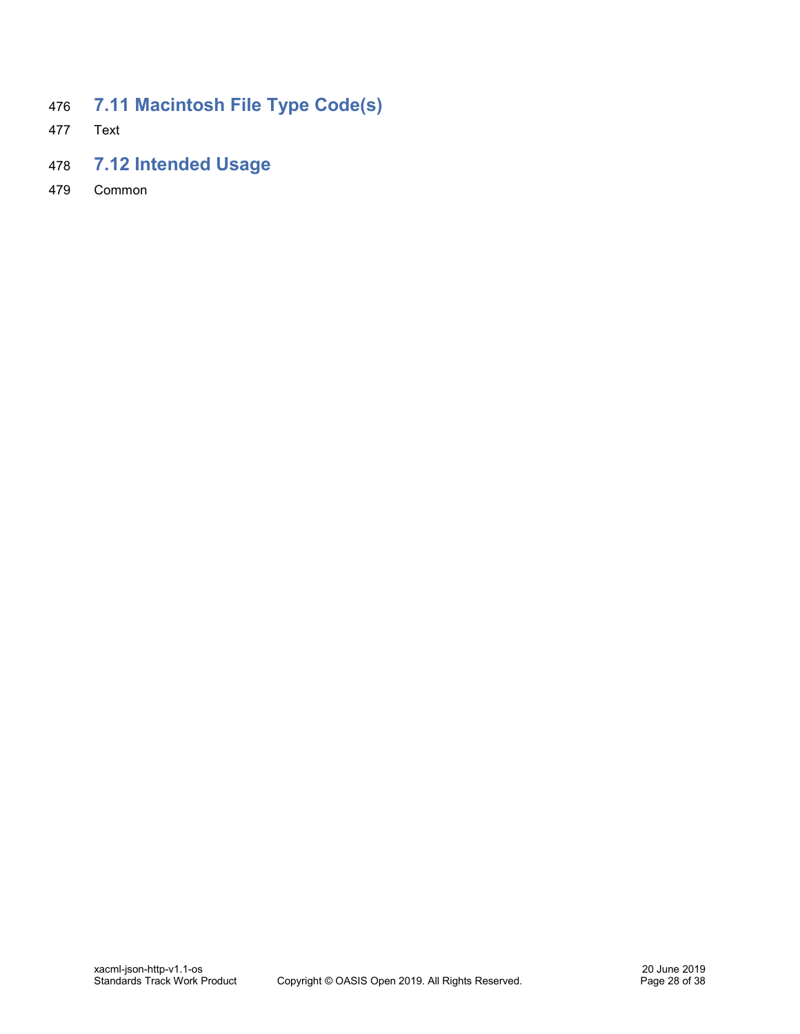- <span id="page-27-0"></span>**7.11 Macintosh File Type Code(s)**
- Text
- <span id="page-27-1"></span>**7.12 Intended Usage**
- Common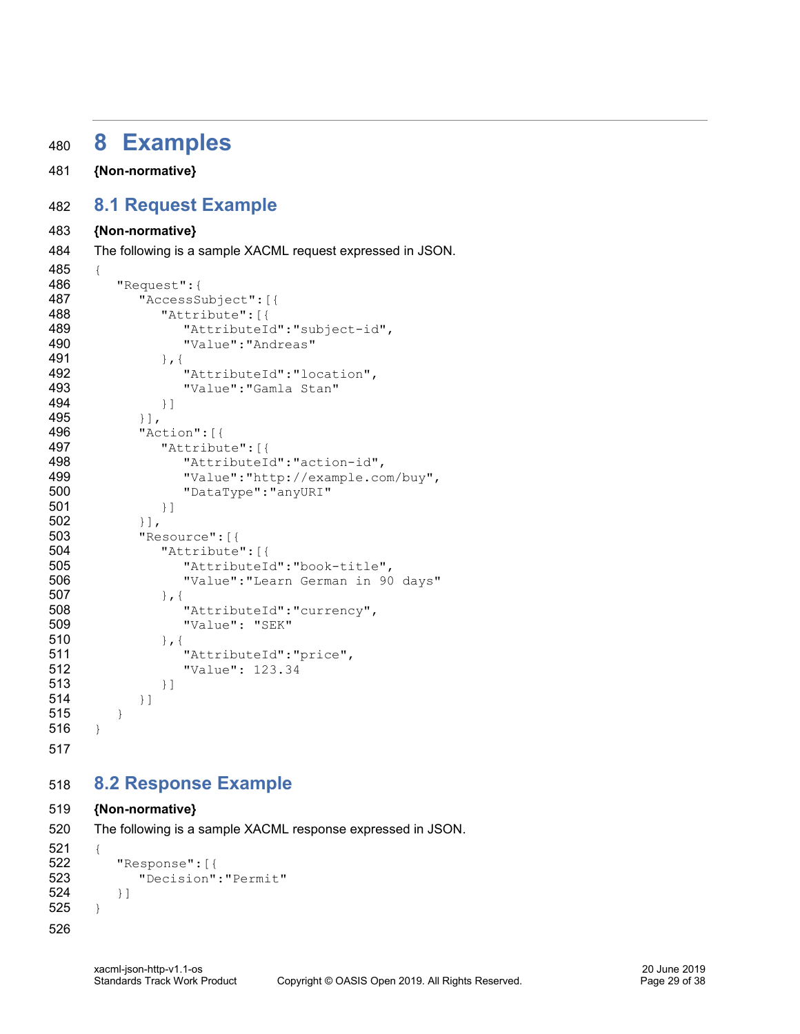# <span id="page-28-0"></span>**8 Examples**

**{Non-normative}**

# <span id="page-28-1"></span>**8.1 Request Example**

#### **{Non-normative}**

The following is a sample XACML request expressed in JSON.

```
485 {
486 "Request":{
487 "AccessSubject":[{
488 "Attribute":[{
489 "AttributeId":"subject-id",
490 "Value":"Andreas"
491 },{
492 "AttributeId":"location",
493 "Value":"Gamla Stan"
494 }]
495 }],
496 "Action":[{
497 "Attribute":[{
498 "AttributeId":"action-id",
499 "Value":"http://example.com/buy",
500 "DataType":"anyURI"
501 }]
502 }],
503 "Resource":[{
504 "Attribute":[{
505 "AttributeId":"book-title",
506 "Value":"Learn German in 90 days"
507 }, {
508 "AttributeId": "currency",
509 "Value": "SEK"
510 }, {
511 "AttributeId":"price",
512 "Value": 123.34
513 }]
514 }]
515 }
516 }
```
# <span id="page-28-2"></span>**8.2 Response Example**

#### **{Non-normative}**

```
520 The following is a sample XACML response expressed in JSON.
521 {
522 "Response":[{
523 "Decision":"Permit"
524 }]
525 }
526
```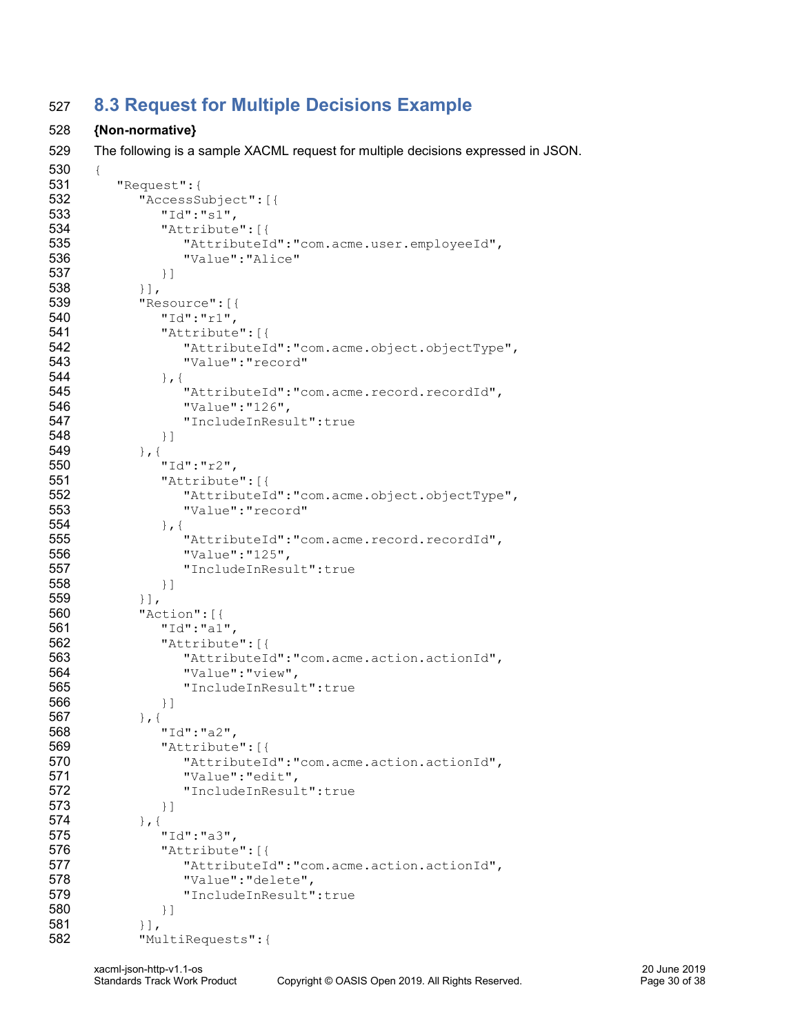# <span id="page-29-0"></span>**8.3 Request for Multiple Decisions Example**

#### **{Non-normative}**

The following is a sample XACML request for multiple decisions expressed in JSON.

```
530 {
531 "Request":{
532 "AccessSubject":[{
533 "Id":"s1",
534 "Attribute":[{
535 "AttributeId":"com.acme.user.employeeId",
536 "Value":"Alice"
537 }]
538 }],
539 "Resource":[{
540 "Id":"r1",
541 "Attribute":[{
542 "AttributeId":"com.acme.object.objectType",
543 "Value":"record"
544 \, \, \}, {
545 "AttributeId":"com.acme.record.recordId",
546 "Value":"126",
547 "IncludeInResult":true
548 }]
549 },{
550 "Id":"r2",
551 "Attribute":[{
552 "AttributeId":"com.acme.object.objectType",
553 "Value":"record"
554 },{
555 "AttributeId":"com.acme.record.recordId",
556 "Value":"125",
557 "IncludeInResult":true
558 }]
559 \{\ ]\ ,560 "Action":[{
561 "Id":"a1",
562 "Attribute":[{
563 "AttributeId":"com.acme.action.actionId",
564 "Value":"view",
565 "IncludeInResult":true
566 }]
567 },{
568 "Id":"a2",
569 "Attribute":[{
570 "AttributeId":"com.acme.action.actionId",
571 "Value":"edit",
572 "IncludeInResult":true
573 }]
574 }, {
575 "Id":"a3",
576 "Attribute":[{
577 "AttributeId":"com.acme.action.actionId",
578 "Value":"delete",
579 "IncludeInResult":true
580 }]
581 }],
582 "MultiRequests":{
```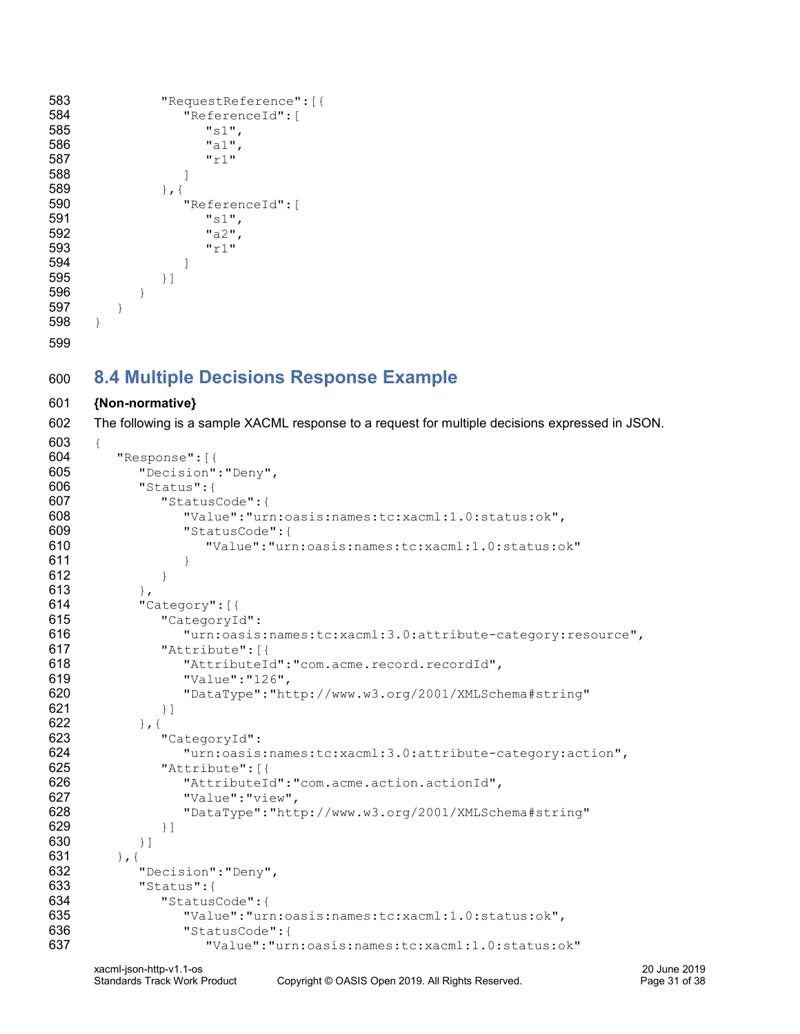```
583 "RequestReference":[{
584 "ReferenceId":[
585 "s1",
586 "a1",
587 "r1"
588 ]
589 }, {
590 "ReferenceId":[
591 "s1",
592 "a2",
593 "r1"
594 ]
595 }]
596 }
597 }
598 }
599
```
# <span id="page-30-0"></span>**8.4 Multiple Decisions Response Example**

#### **{Non-normative}**

The following is a sample XACML response to a request for multiple decisions expressed in JSON.

```
603 {
604 "Response":[{
605 "Decision":"Deny",
606 "Status":{
607 "StatusCode":{
608 "Value":"urn:oasis:names:tc:xacml:1.0:status:ok",
609 "StatusCode":{
610 "Value":"urn:oasis:names:tc:xacml:1.0:status:ok"
611 }
612 }
613 },
614 "Category":[{
615 "CategoryId":
616 "urn:oasis:names:tc:xacml:3.0:attribute-category:resource",
617 "Attribute":[{
618 "AttributeId":"com.acme.record.recordId",
619 "Value":"126",
620 "DataType":"http://www.w3.org/2001/XMLSchema#string"
621 } }
622 }, {
623 "CategoryId":
624 "urn:oasis:names:tc:xacml:3.0:attribute-category:action",
625 "Attribute":[{
626 "AttributeId":"com.acme.action.actionId",
627 "Value":"view",
628 "DataType":"http://www.w3.org/2001/XMLSchema#string"
629 } ]
630 } ]
631 }, {632 "Decision":"Deny",
633 "Status":{
634 "StatusCode":{
635 "Value":"urn:oasis:names:tc:xacml:1.0:status:ok",
636 "StatusCode":{
637 "Value":"urn:oasis:names:tc:xacml:1.0:status:ok"
```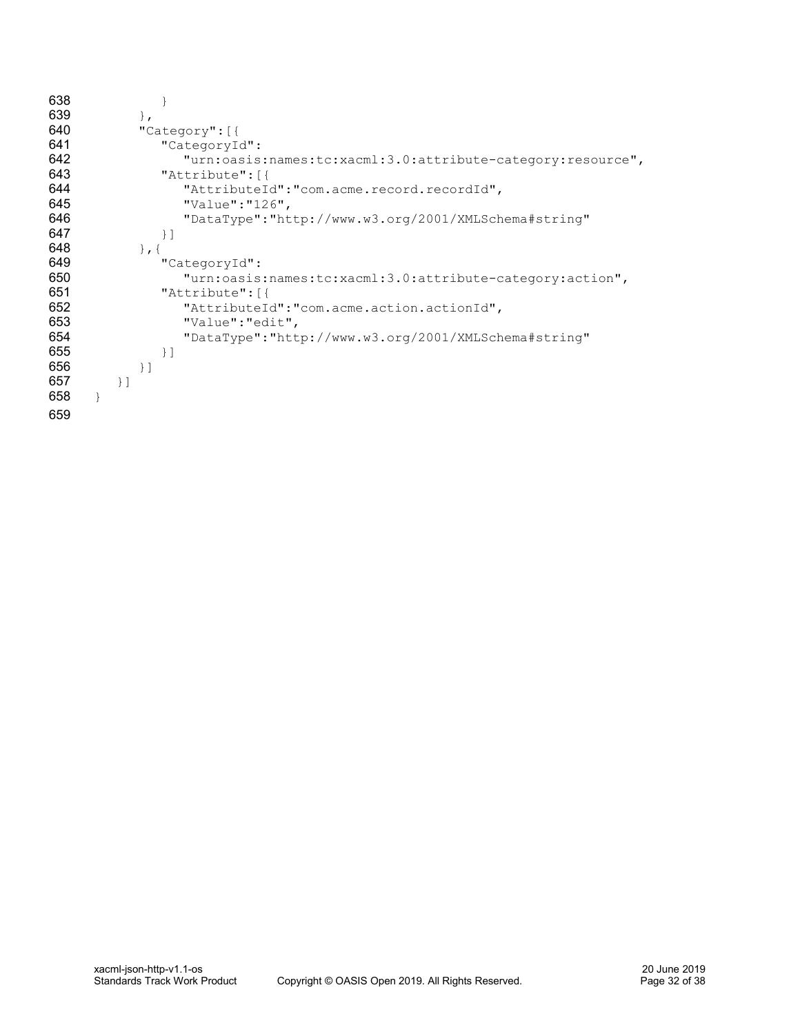| 638 |                                                             |
|-----|-------------------------------------------------------------|
| 639 | $\mathbf{L}$                                                |
| 640 | "Category": [{                                              |
| 641 | "CategoryId":                                               |
| 642 | "urn:oasis:names:tc:xacml:3.0:attribute-category:resource", |
| 643 | "Attribute": [{                                             |
| 644 | "AttributeId":"com.acme.record.recordId",                   |
| 645 | "Value":" $126"$ ,                                          |
| 646 | "DataType":"http://www.w3.org/2001/XMLSchema#string"        |
| 647 | $\}$ ]                                                      |
| 648 | $\}$ , {                                                    |
| 649 | "CategoryId":                                               |
| 650 | "urn:oasis:names:tc:xacml:3.0:attribute-category:action",   |
| 651 | "Attribute": [{                                             |
| 652 | "AttributeId":"com.acme.action.actionId",                   |
| 653 | "Value": "edit",                                            |
| 654 | "DataType":"http://www.w3.org/2001/XMLSchema#string"        |
| 655 | $\}$ ]                                                      |
| 656 | $\}$ ]                                                      |
| 657 | $\}$ ]                                                      |
| 658 |                                                             |
| 659 |                                                             |
|     |                                                             |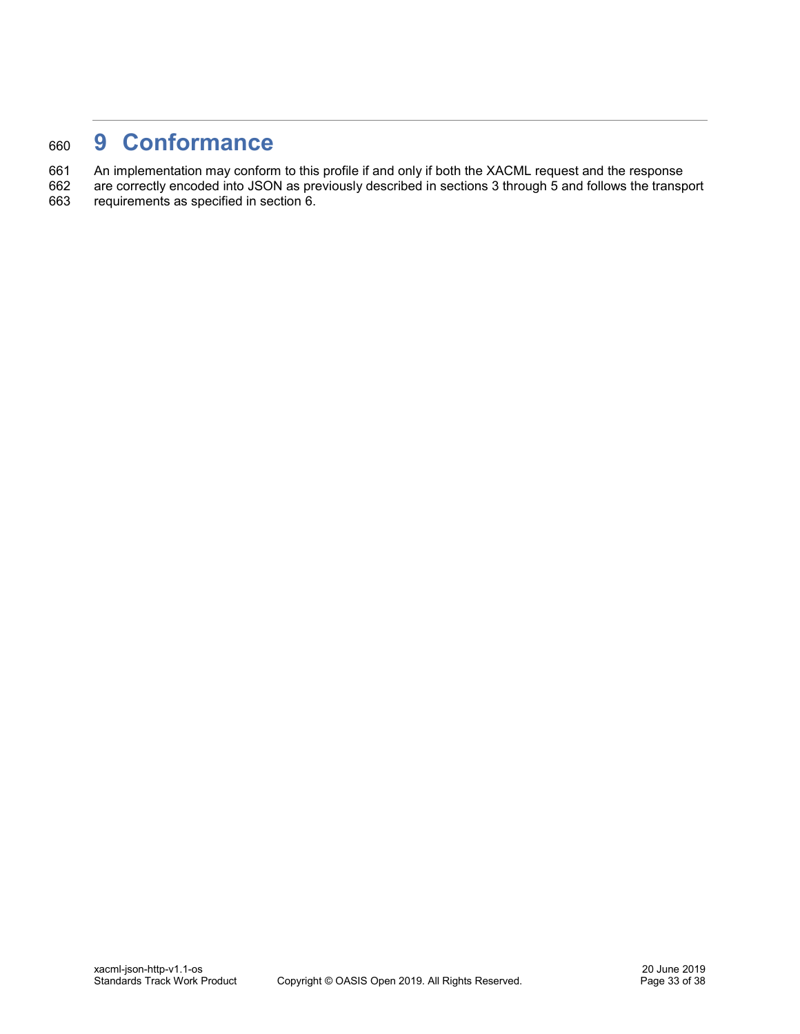# <span id="page-32-0"></span><sup>660</sup> **9 Conformance**

661 An implementation may conform to this profile if and only if both the XACML request and the response

662 are correctly encoded into JSON as previously described in sections [3](#page-8-0) through [5](#page-20-0) and follows the transport requirements as specified in section [6.](#page-25-0)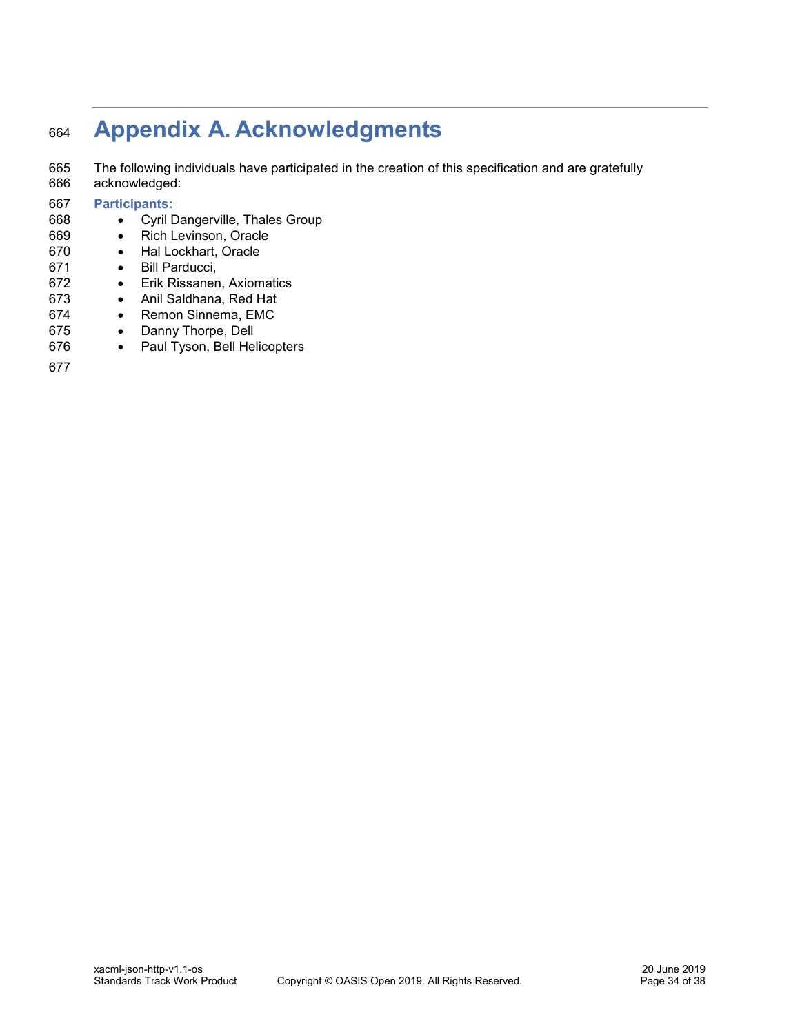# <span id="page-33-0"></span>**Appendix A. Acknowledgments**

 The following individuals have participated in the creation of this specification and are gratefully acknowledged:

#### **Participants:**

- Cyril Dangerville, Thales Group
- Rich Levinson, Oracle
- Hal Lockhart, Oracle
- Bill Parducci,
- Erik Rissanen, Axiomatics
- Anil Saldhana, Red Hat
- Remon Sinnema, EMC
- Danny Thorpe, Dell
- Paul Tyson, Bell Helicopters
-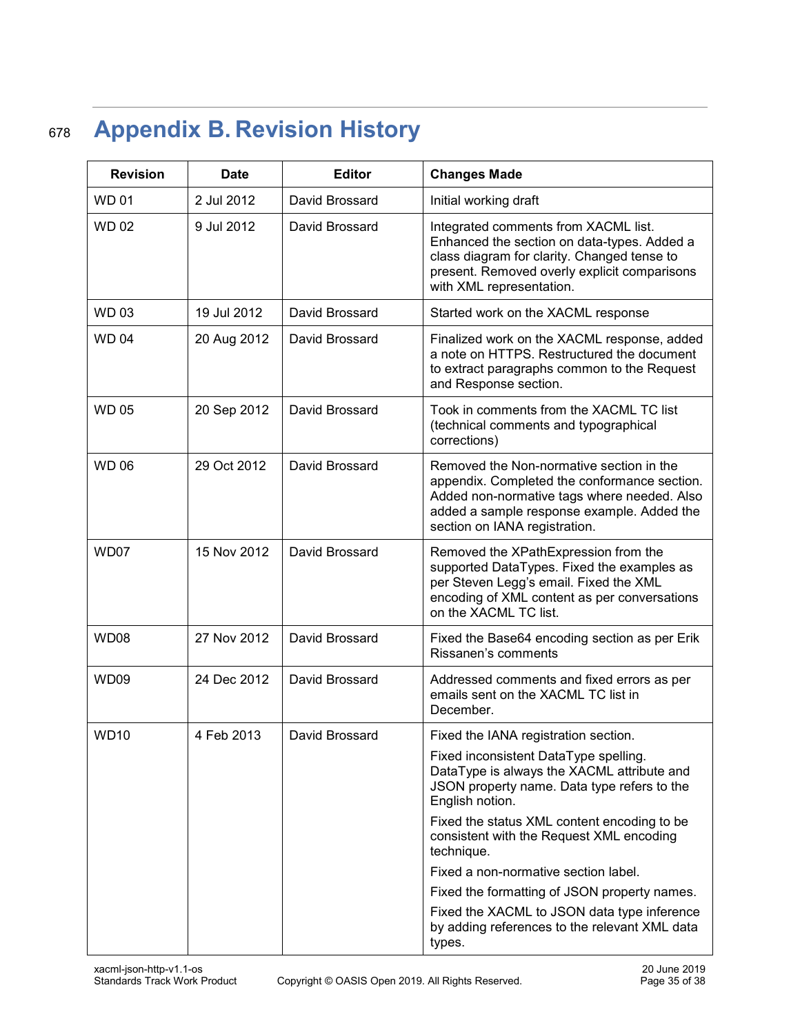# <span id="page-34-0"></span><sup>678</sup> **Appendix B. Revision History**

| <b>Revision</b> | <b>Date</b> | <b>Editor</b>  | <b>Changes Made</b>                                                                                                                                                                                                    |  |
|-----------------|-------------|----------------|------------------------------------------------------------------------------------------------------------------------------------------------------------------------------------------------------------------------|--|
| <b>WD01</b>     | 2 Jul 2012  | David Brossard | Initial working draft                                                                                                                                                                                                  |  |
| <b>WD02</b>     | 9 Jul 2012  | David Brossard | Integrated comments from XACML list.<br>Enhanced the section on data-types. Added a<br>class diagram for clarity. Changed tense to<br>present. Removed overly explicit comparisons<br>with XML representation.         |  |
| <b>WD03</b>     | 19 Jul 2012 | David Brossard | Started work on the XACML response                                                                                                                                                                                     |  |
| <b>WD04</b>     | 20 Aug 2012 | David Brossard | Finalized work on the XACML response, added<br>a note on HTTPS. Restructured the document<br>to extract paragraphs common to the Request<br>and Response section.                                                      |  |
| <b>WD05</b>     | 20 Sep 2012 | David Brossard | Took in comments from the XACML TC list<br>(technical comments and typographical<br>corrections)                                                                                                                       |  |
| <b>WD 06</b>    | 29 Oct 2012 | David Brossard | Removed the Non-normative section in the<br>appendix. Completed the conformance section.<br>Added non-normative tags where needed. Also<br>added a sample response example. Added the<br>section on IANA registration. |  |
| WD07            | 15 Nov 2012 | David Brossard | Removed the XPathExpression from the<br>supported DataTypes. Fixed the examples as<br>per Steven Legg's email. Fixed the XML<br>encoding of XML content as per conversations<br>on the XACML TC list.                  |  |
| <b>WD08</b>     | 27 Nov 2012 | David Brossard | Fixed the Base64 encoding section as per Erik<br>Rissanen's comments                                                                                                                                                   |  |
| WD09            | 24 Dec 2012 | David Brossard | Addressed comments and fixed errors as per<br>emails sent on the XACML TC list in<br>December.                                                                                                                         |  |
| <b>WD10</b>     | 4 Feb 2013  | David Brossard | Fixed the IANA registration section.                                                                                                                                                                                   |  |
|                 |             |                | Fixed inconsistent DataType spelling.<br>DataType is always the XACML attribute and<br>JSON property name. Data type refers to the<br>English notion.                                                                  |  |
|                 |             |                | Fixed the status XML content encoding to be<br>consistent with the Request XML encoding<br>technique.                                                                                                                  |  |
|                 |             |                | Fixed a non-normative section label.                                                                                                                                                                                   |  |
|                 |             |                | Fixed the formatting of JSON property names.                                                                                                                                                                           |  |
|                 |             |                | Fixed the XACML to JSON data type inference<br>by adding references to the relevant XML data<br>types.                                                                                                                 |  |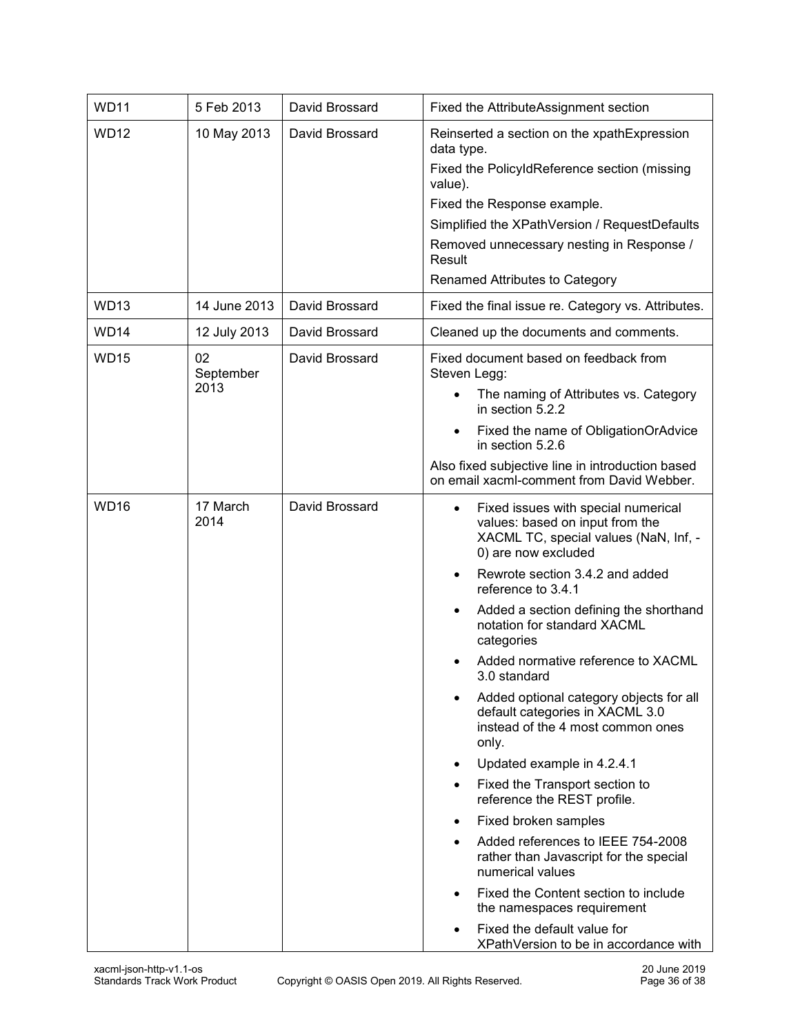| <b>WD11</b>      | 5 Feb 2013              | David Brossard | Fixed the AttributeAssignment section                                                                                                                                                                                                                                                                                                                                                                                                                                                                                                                                                                                                                                                                                                                                                                                                                      |  |
|------------------|-------------------------|----------------|------------------------------------------------------------------------------------------------------------------------------------------------------------------------------------------------------------------------------------------------------------------------------------------------------------------------------------------------------------------------------------------------------------------------------------------------------------------------------------------------------------------------------------------------------------------------------------------------------------------------------------------------------------------------------------------------------------------------------------------------------------------------------------------------------------------------------------------------------------|--|
| <b>WD12</b>      | 10 May 2013             | David Brossard | Reinserted a section on the xpathExpression<br>data type.<br>Fixed the PolicyIdReference section (missing<br>value).<br>Fixed the Response example.<br>Simplified the XPathVersion / RequestDefaults<br>Removed unnecessary nesting in Response /<br>Result<br><b>Renamed Attributes to Category</b>                                                                                                                                                                                                                                                                                                                                                                                                                                                                                                                                                       |  |
| <b>WD13</b>      | 14 June 2013            | David Brossard | Fixed the final issue re. Category vs. Attributes.                                                                                                                                                                                                                                                                                                                                                                                                                                                                                                                                                                                                                                                                                                                                                                                                         |  |
| WD <sub>14</sub> | 12 July 2013            | David Brossard | Cleaned up the documents and comments.                                                                                                                                                                                                                                                                                                                                                                                                                                                                                                                                                                                                                                                                                                                                                                                                                     |  |
| <b>WD15</b>      | 02<br>September<br>2013 | David Brossard | Fixed document based on feedback from<br>Steven Legg:<br>The naming of Attributes vs. Category<br>in section 5.2.2<br>Fixed the name of ObligationOrAdvice<br>in section 5.2.6<br>Also fixed subjective line in introduction based<br>on email xacml-comment from David Webber.                                                                                                                                                                                                                                                                                                                                                                                                                                                                                                                                                                            |  |
| <b>WD16</b>      | 17 March<br>2014        | David Brossard | Fixed issues with special numerical<br>values: based on input from the<br>XACML TC, special values (NaN, Inf, -<br>0) are now excluded<br>Rewrote section 3.4.2 and added<br>reference to 3.4.1<br>Added a section defining the shorthand<br>٠<br>notation for standard XACML<br>categories<br>Added normative reference to XACML<br>3.0 standard<br>Added optional category objects for all<br>default categories in XACML 3.0<br>instead of the 4 most common ones<br>only.<br>Updated example in 4.2.4.1<br>٠<br>Fixed the Transport section to<br>reference the REST profile.<br>Fixed broken samples<br>Added references to IEEE 754-2008<br>rather than Javascript for the special<br>numerical values<br>Fixed the Content section to include<br>the namespaces requirement<br>Fixed the default value for<br>XPathVersion to be in accordance with |  |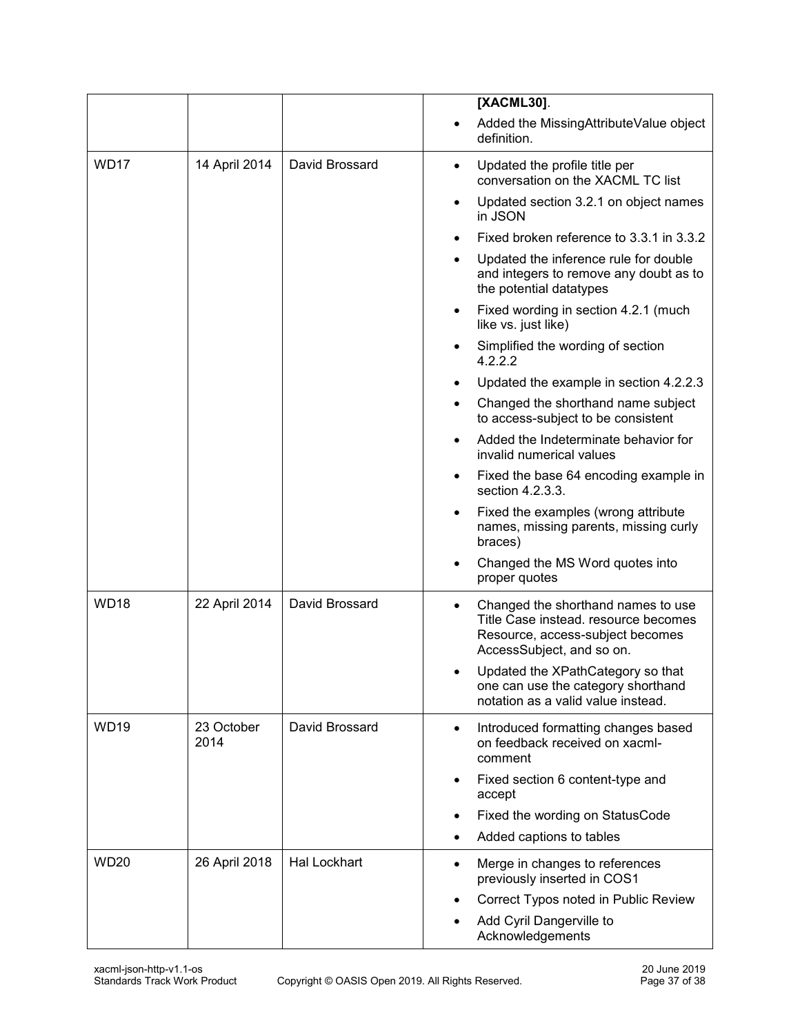|                  |                    |                     | [XACML30].                                                                                                                                               |
|------------------|--------------------|---------------------|----------------------------------------------------------------------------------------------------------------------------------------------------------|
|                  |                    |                     | Added the MissingAttributeValue object<br>definition.                                                                                                    |
| WD <sub>17</sub> | 14 April 2014      | David Brossard      | Updated the profile title per<br>$\bullet$<br>conversation on the XACML TC list                                                                          |
|                  |                    |                     | Updated section 3.2.1 on object names<br>in JSON                                                                                                         |
|                  |                    |                     | Fixed broken reference to 3.3.1 in 3.3.2                                                                                                                 |
|                  |                    |                     | Updated the inference rule for double<br>and integers to remove any doubt as to<br>the potential datatypes                                               |
|                  |                    |                     | Fixed wording in section 4.2.1 (much<br>like vs. just like)                                                                                              |
|                  |                    |                     | Simplified the wording of section<br>4.2.2.2                                                                                                             |
|                  |                    |                     | Updated the example in section 4.2.2.3                                                                                                                   |
|                  |                    |                     | Changed the shorthand name subject<br>to access-subject to be consistent                                                                                 |
|                  |                    |                     | Added the Indeterminate behavior for<br>invalid numerical values                                                                                         |
|                  |                    |                     | Fixed the base 64 encoding example in<br>section 4.2.3.3.                                                                                                |
|                  |                    |                     | Fixed the examples (wrong attribute<br>$\bullet$<br>names, missing parents, missing curly<br>braces)                                                     |
|                  |                    |                     | Changed the MS Word quotes into<br>proper quotes                                                                                                         |
| WD <sub>18</sub> | 22 April 2014      | David Brossard      | Changed the shorthand names to use<br>$\bullet$<br>Title Case instead, resource becomes<br>Resource, access-subject becomes<br>AccessSubject, and so on. |
|                  |                    |                     | Updated the XPathCategory so that<br>one can use the category shorthand<br>notation as a valid value instead.                                            |
| <b>WD19</b>      | 23 October<br>2014 | David Brossard      | Introduced formatting changes based<br>$\bullet$<br>on feedback received on xacml-<br>comment                                                            |
|                  |                    |                     | Fixed section 6 content-type and<br>accept                                                                                                               |
|                  |                    |                     | Fixed the wording on StatusCode<br>$\bullet$                                                                                                             |
|                  |                    |                     | Added captions to tables                                                                                                                                 |
| <b>WD20</b>      | 26 April 2018      | <b>Hal Lockhart</b> | Merge in changes to references<br>$\bullet$<br>previously inserted in COS1                                                                               |
|                  |                    |                     | Correct Typos noted in Public Review                                                                                                                     |
|                  |                    |                     | Add Cyril Dangerville to<br>Acknowledgements                                                                                                             |